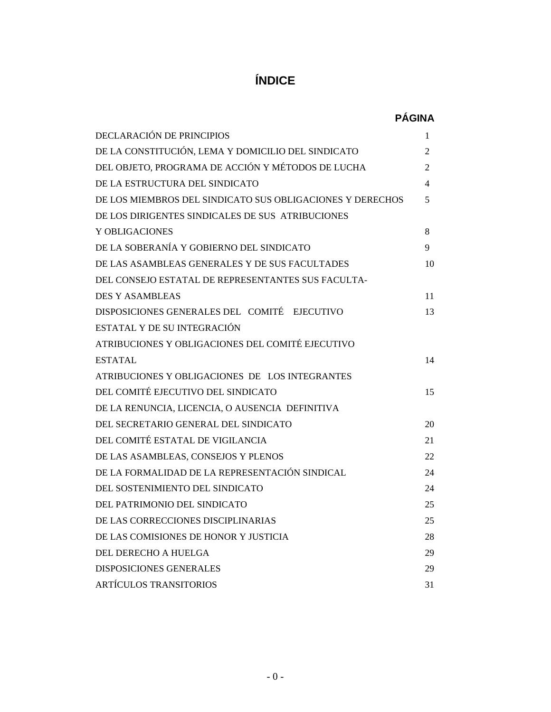# **ÍNDICE**

# **PÁGINA**

| DECLARACIÓN DE PRINCIPIOS                                 | 1  |
|-----------------------------------------------------------|----|
| DE LA CONSTITUCIÓN, LEMA Y DOMICILIO DEL SINDICATO        | 2  |
| DEL OBJETO, PROGRAMA DE ACCIÓN Y MÉTODOS DE LUCHA         | 2  |
| DE LA ESTRUCTURA DEL SINDICATO                            | 4  |
| DE LOS MIEMBROS DEL SINDICATO SUS OBLIGACIONES Y DERECHOS | 5  |
| DE LOS DIRIGENTES SINDICALES DE SUS ATRIBUCIONES          |    |
| Y OBLIGACIONES                                            | 8  |
| DE LA SOBERANÍA Y GOBIERNO DEL SINDICATO                  | 9  |
| DE LAS ASAMBLEAS GENERALES Y DE SUS FACULTADES            | 10 |
| DEL CONSEJO ESTATAL DE REPRESENTANTES SUS FACULTA-        |    |
| <b>DES Y ASAMBLEAS</b>                                    | 11 |
| DISPOSICIONES GENERALES DEL COMITÉ EJECUTIVO              | 13 |
| ESTATAL Y DE SU INTEGRACIÓN                               |    |
| ATRIBUCIONES Y OBLIGACIONES DEL COMITÉ EJECUTIVO          |    |
| <b>ESTATAL</b>                                            | 14 |
| ATRIBUCIONES Y OBLIGACIONES DE LOS INTEGRANTES            |    |
| DEL COMITÉ EJECUTIVO DEL SINDICATO                        | 15 |
| DE LA RENUNCIA, LICENCIA, O AUSENCIA DEFINITIVA           |    |
| DEL SECRETARIO GENERAL DEL SINDICATO                      | 20 |
| DEL COMITÉ ESTATAL DE VIGILANCIA                          | 21 |
| DE LAS ASAMBLEAS, CONSEJOS Y PLENOS                       | 22 |
| DE LA FORMALIDAD DE LA REPRESENTACIÓN SINDICAL            | 24 |
| DEL SOSTENIMIENTO DEL SINDICATO                           | 24 |
| DEL PATRIMONIO DEL SINDICATO                              | 25 |
| DE LAS CORRECCIONES DISCIPLINARIAS                        | 25 |
| DE LAS COMISIONES DE HONOR Y JUSTICIA                     | 28 |
| DEL DERECHO A HUELGA                                      | 29 |
| <b>DISPOSICIONES GENERALES</b>                            | 29 |
| <b>ARTÍCULOS TRANSITORIOS</b>                             | 31 |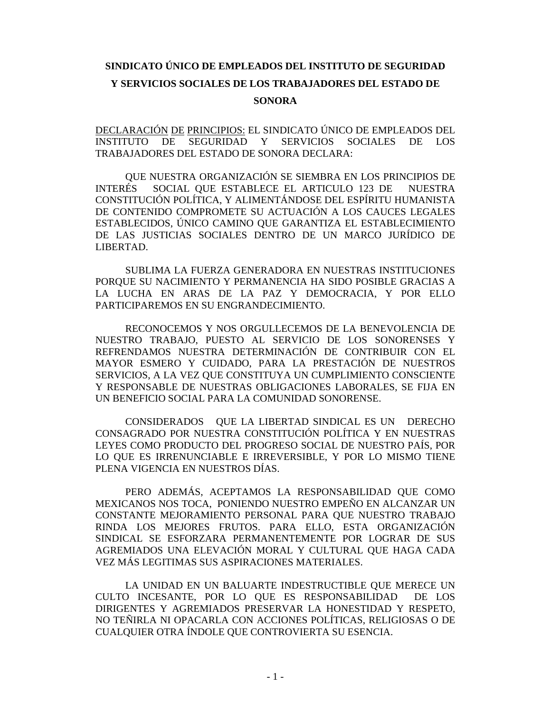# **SINDICATO ÚNICO DE EMPLEADOS DEL INSTITUTO DE SEGURIDAD Y SERVICIOS SOCIALES DE LOS TRABAJADORES DEL ESTADO DE SONORA**

DECLARACIÓN DE PRINCIPIOS: EL SINDICATO ÚNICO DE EMPLEADOS DEL INSTITUTO DE SEGURIDAD Y SERVICIOS SOCIALES DE LOS TRABAJADORES DEL ESTADO DE SONORA DECLARA:

QUE NUESTRA ORGANIZACIÓN SE SIEMBRA EN LOS PRINCIPIOS DE INTERÉS SOCIAL QUE ESTABLECE EL ARTICULO 123 DE NUESTRA CONSTITUCIÓN POLÍTICA, Y ALIMENTÁNDOSE DEL ESPÍRITU HUMANISTA DE CONTENIDO COMPROMETE SU ACTUACIÓN A LOS CAUCES LEGALES ESTABLECIDOS, ÚNICO CAMINO QUE GARANTIZA EL ESTABLECIMIENTO DE LAS JUSTICIAS SOCIALES DENTRO DE UN MARCO JURÍDICO DE LIBERTAD.

SUBLIMA LA FUERZA GENERADORA EN NUESTRAS INSTITUCIONES PORQUE SU NACIMIENTO Y PERMANENCIA HA SIDO POSIBLE GRACIAS A LA LUCHA EN ARAS DE LA PAZ Y DEMOCRACIA, Y POR ELLO PARTICIPAREMOS EN SU ENGRANDECIMIENTO.

RECONOCEMOS Y NOS ORGULLECEMOS DE LA BENEVOLENCIA DE NUESTRO TRABAJO, PUESTO AL SERVICIO DE LOS SONORENSES Y REFRENDAMOS NUESTRA DETERMINACIÓN DE CONTRIBUIR CON EL MAYOR ESMERO Y CUIDADO, PARA LA PRESTACIÓN DE NUESTROS SERVICIOS, A LA VEZ QUE CONSTITUYA UN CUMPLIMIENTO CONSCIENTE Y RESPONSABLE DE NUESTRAS OBLIGACIONES LABORALES, SE FIJA EN UN BENEFICIO SOCIAL PARA LA COMUNIDAD SONORENSE.

CONSIDERADOS QUE LA LIBERTAD SINDICAL ES UN DERECHO CONSAGRADO POR NUESTRA CONSTITUCIÓN POLÍTICA Y EN NUESTRAS LEYES COMO PRODUCTO DEL PROGRESO SOCIAL DE NUESTRO PAÍS, POR LO QUE ES IRRENUNCIABLE E IRREVERSIBLE, Y POR LO MISMO TIENE PLENA VIGENCIA EN NUESTROS DÍAS.

PERO ADEMÁS, ACEPTAMOS LA RESPONSABILIDAD QUE COMO MEXICANOS NOS TOCA, PONIENDO NUESTRO EMPEÑO EN ALCANZAR UN CONSTANTE MEJORAMIENTO PERSONAL PARA QUE NUESTRO TRABAJO RINDA LOS MEJORES FRUTOS. PARA ELLO, ESTA ORGANIZACIÓN SINDICAL SE ESFORZARA PERMANENTEMENTE POR LOGRAR DE SUS AGREMIADOS UNA ELEVACIÓN MORAL Y CULTURAL QUE HAGA CADA VEZ MÁS LEGITIMAS SUS ASPIRACIONES MATERIALES.

LA UNIDAD EN UN BALUARTE INDESTRUCTIBLE QUE MERECE UN CULTO INCESANTE, POR LO QUE ES RESPONSABILIDAD DE LOS DIRIGENTES Y AGREMIADOS PRESERVAR LA HONESTIDAD Y RESPETO, NO TEÑIRLA NI OPACARLA CON ACCIONES POLÍTICAS, RELIGIOSAS O DE CUALQUIER OTRA ÍNDOLE QUE CONTROVIERTA SU ESENCIA.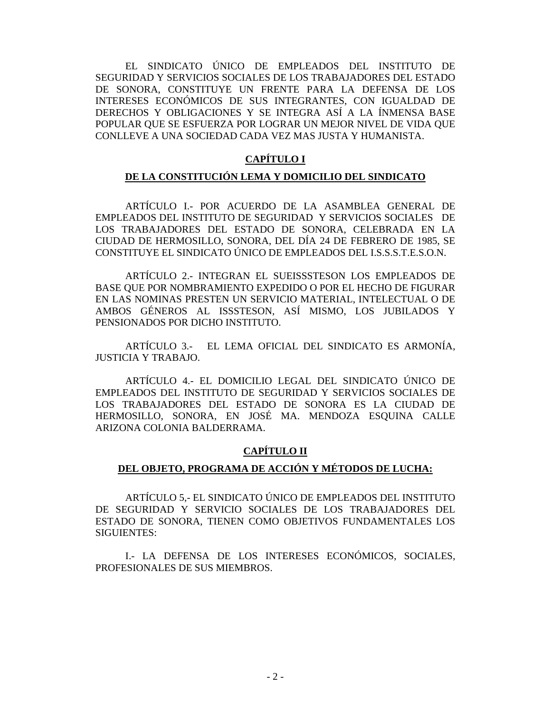EL SINDICATO ÚNICO DE EMPLEADOS DEL INSTITUTO DE SEGURIDAD Y SERVICIOS SOCIALES DE LOS TRABAJADORES DEL ESTADO DE SONORA, CONSTITUYE UN FRENTE PARA LA DEFENSA DE LOS INTERESES ECONÓMICOS DE SUS INTEGRANTES, CON IGUALDAD DE DERECHOS Y OBLIGACIONES Y SE INTEGRA ASÍ A LA ÍNMENSA BASE POPULAR QUE SE ESFUERZA POR LOGRAR UN MEJOR NIVEL DE VIDA QUE CONLLEVE A UNA SOCIEDAD CADA VEZ MAS JUSTA Y HUMANISTA.

# **CAPÍTULO I**

## **DE LA CONSTITUCIÓN LEMA Y DOMICILIO DEL SINDICATO**

ARTÍCULO I.- POR ACUERDO DE LA ASAMBLEA GENERAL DE EMPLEADOS DEL INSTITUTO DE SEGURIDAD Y SERVICIOS SOCIALES DE LOS TRABAJADORES DEL ESTADO DE SONORA, CELEBRADA EN LA CIUDAD DE HERMOSILLO, SONORA, DEL DÍA 24 DE FEBRERO DE 1985, SE CONSTITUYE EL SINDICATO ÚNICO DE EMPLEADOS DEL I.S.S.S.T.E.S.O.N.

ARTÍCULO 2.- INTEGRAN EL SUEISSSTESON LOS EMPLEADOS DE BASE QUE POR NOMBRAMIENTO EXPEDIDO O POR EL HECHO DE FIGURAR EN LAS NOMINAS PRESTEN UN SERVICIO MATERIAL, INTELECTUAL O DE AMBOS GÉNEROS AL ISSSTESON, ASÍ MISMO, LOS JUBILADOS Y PENSIONADOS POR DICHO INSTITUTO.

ARTÍCULO 3.- EL LEMA OFICIAL DEL SINDICATO ES ARMONÍA, JUSTICIA Y TRABAJO.

ARTÍCULO 4.- EL DOMICILIO LEGAL DEL SINDICATO ÚNICO DE EMPLEADOS DEL INSTITUTO DE SEGURIDAD Y SERVICIOS SOCIALES DE LOS TRABAJADORES DEL ESTADO DE SONORA ES LA CIUDAD DE HERMOSILLO, SONORA, EN JOSÉ MA. MENDOZA ESQUINA CALLE ARIZONA COLONIA BALDERRAMA.

# **CAPÍTULO II**

## **DEL OBJETO, PROGRAMA DE ACCIÓN Y MÉTODOS DE LUCHA:**

ARTÍCULO 5,- EL SINDICATO ÚNICO DE EMPLEADOS DEL INSTITUTO DE SEGURIDAD Y SERVICIO SOCIALES DE LOS TRABAJADORES DEL ESTADO DE SONORA, TIENEN COMO OBJETIVOS FUNDAMENTALES LOS SIGUIENTES:

I.- LA DEFENSA DE LOS INTERESES ECONÓMICOS, SOCIALES, PROFESIONALES DE SUS MIEMBROS.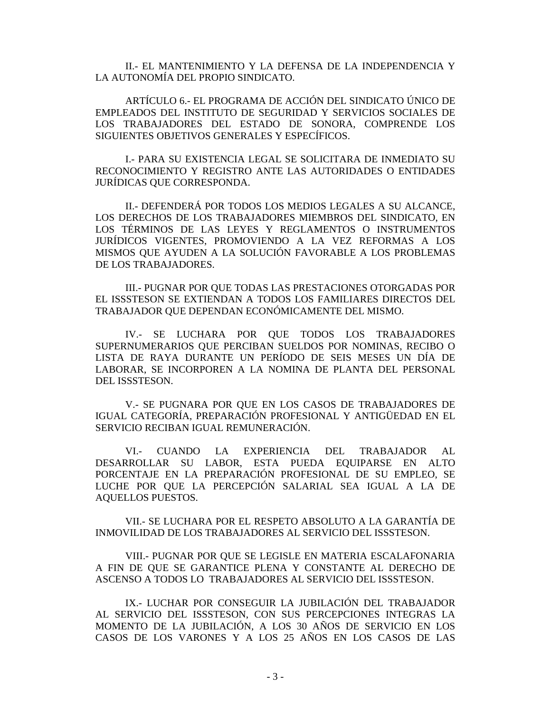II.- EL MANTENIMIENTO Y LA DEFENSA DE LA INDEPENDENCIA Y LA AUTONOMÍA DEL PROPIO SINDICATO.

ARTÍCULO 6.- EL PROGRAMA DE ACCIÓN DEL SINDICATO ÚNICO DE EMPLEADOS DEL INSTITUTO DE SEGURIDAD Y SERVICIOS SOCIALES DE LOS TRABAJADORES DEL ESTADO DE SONORA, COMPRENDE LOS SIGUIENTES OBJETIVOS GENERALES Y ESPECÍFICOS.

I.- PARA SU EXISTENCIA LEGAL SE SOLICITARA DE INMEDIATO SU RECONOCIMIENTO Y REGISTRO ANTE LAS AUTORIDADES O ENTIDADES JURÍDICAS QUE CORRESPONDA.

II.- DEFENDERÁ POR TODOS LOS MEDIOS LEGALES A SU ALCANCE, LOS DERECHOS DE LOS TRABAJADORES MIEMBROS DEL SINDICATO, EN LOS TÉRMINOS DE LAS LEYES Y REGLAMENTOS O INSTRUMENTOS JURÍDICOS VIGENTES, PROMOVIENDO A LA VEZ REFORMAS A LOS MISMOS QUE AYUDEN A LA SOLUCIÓN FAVORABLE A LOS PROBLEMAS DE LOS TRABAJADORES.

III.- PUGNAR POR QUE TODAS LAS PRESTACIONES OTORGADAS POR EL ISSSTESON SE EXTIENDAN A TODOS LOS FAMILIARES DIRECTOS DEL TRABAJADOR QUE DEPENDAN ECONÓMICAMENTE DEL MISMO.

IV.- SE LUCHARA POR QUE TODOS LOS TRABAJADORES SUPERNUMERARIOS QUE PERCIBAN SUELDOS POR NOMINAS, RECIBO O LISTA DE RAYA DURANTE UN PERÍODO DE SEIS MESES UN DÍA DE LABORAR, SE INCORPOREN A LA NOMINA DE PLANTA DEL PERSONAL DEL ISSSTESON.

V.- SE PUGNARA POR QUE EN LOS CASOS DE TRABAJADORES DE IGUAL CATEGORÍA, PREPARACIÓN PROFESIONAL Y ANTIGÜEDAD EN EL SERVICIO RECIBAN IGUAL REMUNERACIÓN.

VI.- CUANDO LA EXPERIENCIA DEL TRABAJADOR AL DESARROLLAR SU LABOR, ESTA PUEDA EQUIPARSE EN ALTO PORCENTAJE EN LA PREPARACIÓN PROFESIONAL DE SU EMPLEO, SE LUCHE POR QUE LA PERCEPCIÓN SALARIAL SEA IGUAL A LA DE AQUELLOS PUESTOS.

VII.- SE LUCHARA POR EL RESPETO ABSOLUTO A LA GARANTÍA DE INMOVILIDAD DE LOS TRABAJADORES AL SERVICIO DEL ISSSTESON.

VIII.- PUGNAR POR QUE SE LEGISLE EN MATERIA ESCALAFONARIA A FIN DE QUE SE GARANTICE PLENA Y CONSTANTE AL DERECHO DE ASCENSO A TODOS LO TRABAJADORES AL SERVICIO DEL ISSSTESON.

IX.- LUCHAR POR CONSEGUIR LA JUBILACIÓN DEL TRABAJADOR AL SERVICIO DEL ISSSTESON, CON SUS PERCEPCIONES INTEGRAS LA MOMENTO DE LA JUBILACIÓN, A LOS 30 AÑOS DE SERVICIO EN LOS CASOS DE LOS VARONES Y A LOS 25 AÑOS EN LOS CASOS DE LAS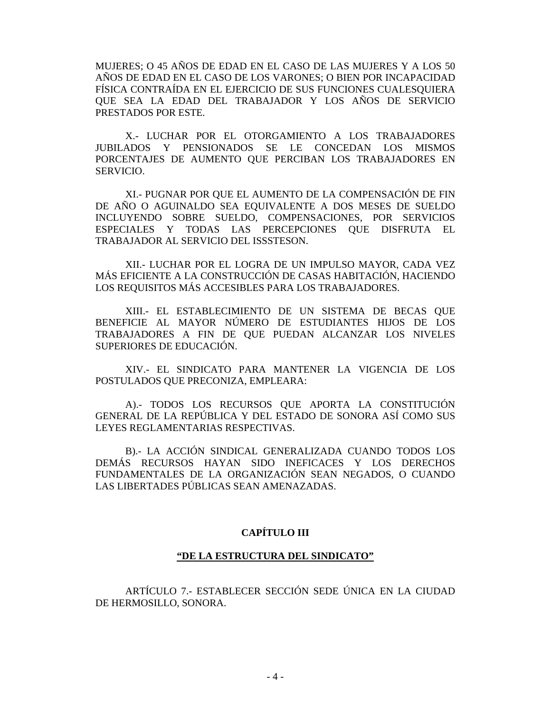MUJERES; O 45 AÑOS DE EDAD EN EL CASO DE LAS MUJERES Y A LOS 50 AÑOS DE EDAD EN EL CASO DE LOS VARONES; O BIEN POR INCAPACIDAD FÍSICA CONTRAÍDA EN EL EJERCICIO DE SUS FUNCIONES CUALESQUIERA QUE SEA LA EDAD DEL TRABAJADOR Y LOS AÑOS DE SERVICIO PRESTADOS POR ESTE.

X.- LUCHAR POR EL OTORGAMIENTO A LOS TRABAJADORES JUBILADOS Y PENSIONADOS SE LE CONCEDAN LOS MISMOS PORCENTAJES DE AUMENTO QUE PERCIBAN LOS TRABAJADORES EN SERVICIO.

XI.- PUGNAR POR QUE EL AUMENTO DE LA COMPENSACIÓN DE FIN DE AÑO O AGUINALDO SEA EQUIVALENTE A DOS MESES DE SUELDO INCLUYENDO SOBRE SUELDO, COMPENSACIONES, POR SERVICIOS ESPECIALES Y TODAS LAS PERCEPCIONES QUE DISFRUTA EL TRABAJADOR AL SERVICIO DEL ISSSTESON.

XII.- LUCHAR POR EL LOGRA DE UN IMPULSO MAYOR, CADA VEZ MÁS EFICIENTE A LA CONSTRUCCIÓN DE CASAS HABITACIÓN, HACIENDO LOS REQUISITOS MÁS ACCESIBLES PARA LOS TRABAJADORES.

XIII.- EL ESTABLECIMIENTO DE UN SISTEMA DE BECAS QUE BENEFICIE AL MAYOR NÚMERO DE ESTUDIANTES HIJOS DE LOS TRABAJADORES A FIN DE QUE PUEDAN ALCANZAR LOS NIVELES SUPERIORES DE EDUCACIÓN.

XIV.- EL SINDICATO PARA MANTENER LA VIGENCIA DE LOS POSTULADOS QUE PRECONIZA, EMPLEARA:

A).- TODOS LOS RECURSOS QUE APORTA LA CONSTITUCIÓN GENERAL DE LA REPÚBLICA Y DEL ESTADO DE SONORA ASÍ COMO SUS LEYES REGLAMENTARIAS RESPECTIVAS.

B).- LA ACCIÓN SINDICAL GENERALIZADA CUANDO TODOS LOS DEMÁS RECURSOS HAYAN SIDO INEFICACES Y LOS DERECHOS FUNDAMENTALES DE LA ORGANIZACIÓN SEAN NEGADOS, O CUANDO LAS LIBERTADES PÚBLICAS SEAN AMENAZADAS.

## **CAPÍTULO III**

#### **"DE LA ESTRUCTURA DEL SINDICATO"**

ARTÍCULO 7.- ESTABLECER SECCIÓN SEDE ÚNICA EN LA CIUDAD DE HERMOSILLO, SONORA.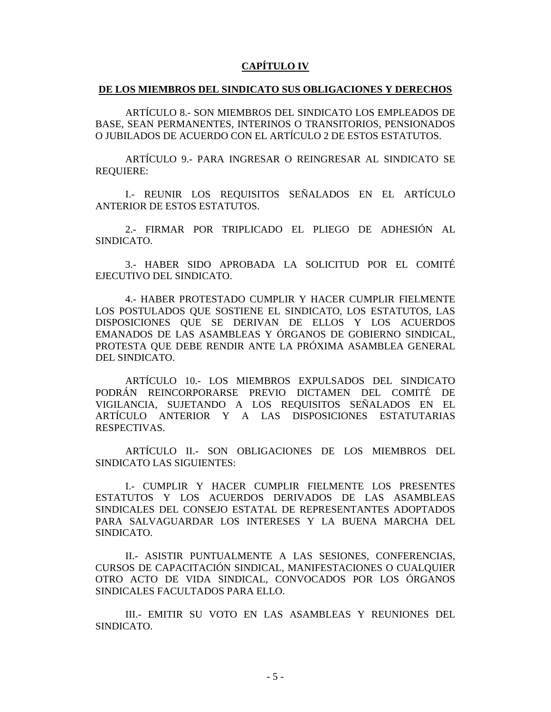# **CAPÍTULO IV**

#### **DE LOS MIEMBROS DEL SINDICATO SUS OBLIGACIONES Y DERECHOS**

ARTÍCULO 8.- SON MIEMBROS DEL SINDICATO LOS EMPLEADOS DE BASE, SEAN PERMANENTES, INTERINOS O TRANSITORIOS, PENSIONADOS O JUBILADOS DE ACUERDO CON EL ARTÍCULO 2 DE ESTOS ESTATUTOS.

ARTÍCULO 9.- PARA INGRESAR O REINGRESAR AL SINDICATO SE REQUIERE:

I.- REUNIR LOS REQUISITOS SEÑALADOS EN EL ARTÍCULO ANTERIOR DE ESTOS ESTATUTOS.

2.- FIRMAR POR TRIPLICADO EL PLIEGO DE ADHESIÓN AL SINDICATO.

3.- HABER SIDO APROBADA LA SOLICITUD POR EL COMITÉ EJECUTIVO DEL SINDICATO.

4.- HABER PROTESTADO CUMPLIR Y HACER CUMPLIR FIELMENTE LOS POSTULADOS QUE SOSTIENE EL SINDICATO, LOS ESTATUTOS, LAS DISPOSICIONES QUE SE DERIVAN DE ELLOS Y LOS ACUERDOS EMANADOS DE LAS ASAMBLEAS Y ÓRGANOS DE GOBIERNO SINDICAL, PROTESTA QUE DEBE RENDIR ANTE LA PRÓXIMA ASAMBLEA GENERAL DEL SINDICATO.

ARTÍCULO 10.- LOS MIEMBROS EXPULSADOS DEL SINDICATO PODRÁN REINCORPORARSE PREVIO DICTAMEN DEL COMITÉ DE VIGILANCIA, SUJETANDO A LOS REQUISITOS SEÑALADOS EN EL ARTÍCULO ANTERIOR Y A LAS DISPOSICIONES ESTATUTARIAS RESPECTIVAS.

ARTÍCULO II.- SON OBLIGACIONES DE LOS MIEMBROS DEL SINDICATO LAS SIGUIENTES:

I.- CUMPLIR Y HACER CUMPLIR FIELMENTE LOS PRESENTES ESTATUTOS Y LOS ACUERDOS DERIVADOS DE LAS ASAMBLEAS SINDICALES DEL CONSEJO ESTATAL DE REPRESENTANTES ADOPTADOS PARA SALVAGUARDAR LOS INTERESES Y LA BUENA MARCHA DEL SINDICATO.

II.- ASISTIR PUNTUALMENTE A LAS SESIONES, CONFERENCIAS, CURSOS DE CAPACITACIÓN SINDICAL, MANIFESTACIONES O CUALQUIER OTRO ACTO DE VIDA SINDICAL, CONVOCADOS POR LOS ÓRGANOS SINDICALES FACULTADOS PARA ELLO.

III.- EMITIR SU VOTO EN LAS ASAMBLEAS Y REUNIONES DEL SINDICATO.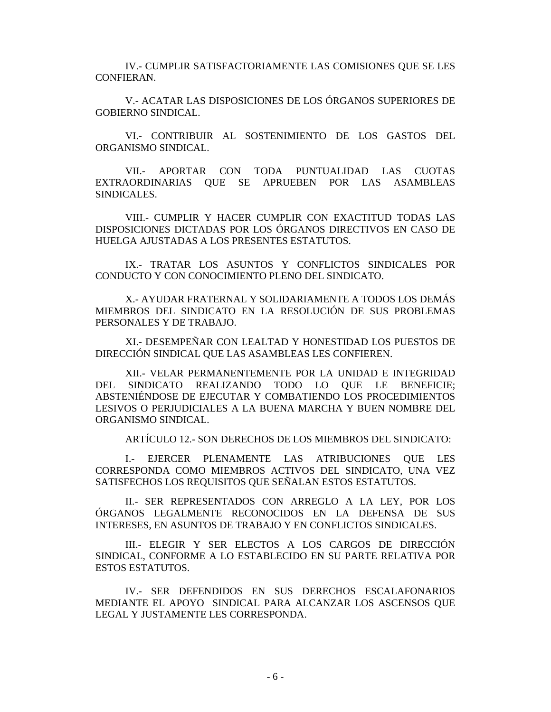IV.- CUMPLIR SATISFACTORIAMENTE LAS COMISIONES QUE SE LES CONFIERAN.

V.- ACATAR LAS DISPOSICIONES DE LOS ÓRGANOS SUPERIORES DE GOBIERNO SINDICAL.

VI.- CONTRIBUIR AL SOSTENIMIENTO DE LOS GASTOS DEL ORGANISMO SINDICAL.

VII.- APORTAR CON TODA PUNTUALIDAD LAS CUOTAS EXTRAORDINARIAS QUE SE APRUEBEN POR LAS ASAMBLEAS SINDICALES.

VIII.- CUMPLIR Y HACER CUMPLIR CON EXACTITUD TODAS LAS DISPOSICIONES DICTADAS POR LOS ÓRGANOS DIRECTIVOS EN CASO DE HUELGA AJUSTADAS A LOS PRESENTES ESTATUTOS.

IX.- TRATAR LOS ASUNTOS Y CONFLICTOS SINDICALES POR CONDUCTO Y CON CONOCIMIENTO PLENO DEL SINDICATO.

X.- AYUDAR FRATERNAL Y SOLIDARIAMENTE A TODOS LOS DEMÁS MIEMBROS DEL SINDICATO EN LA RESOLUCIÓN DE SUS PROBLEMAS PERSONALES Y DE TRABAJO.

XI.- DESEMPEÑAR CON LEALTAD Y HONESTIDAD LOS PUESTOS DE DIRECCIÓN SINDICAL QUE LAS ASAMBLEAS LES CONFIEREN.

XII.- VELAR PERMANENTEMENTE POR LA UNIDAD E INTEGRIDAD DEL SINDICATO REALIZANDO TODO LO QUE LE BENEFICIE; ABSTENIÉNDOSE DE EJECUTAR Y COMBATIENDO LOS PROCEDIMIENTOS LESIVOS O PERJUDICIALES A LA BUENA MARCHA Y BUEN NOMBRE DEL ORGANISMO SINDICAL.

ARTÍCULO 12.- SON DERECHOS DE LOS MIEMBROS DEL SINDICATO:

I.- EJERCER PLENAMENTE LAS ATRIBUCIONES QUE LES CORRESPONDA COMO MIEMBROS ACTIVOS DEL SINDICATO, UNA VEZ SATISFECHOS LOS REQUISITOS QUE SEÑALAN ESTOS ESTATUTOS.

II.- SER REPRESENTADOS CON ARREGLO A LA LEY, POR LOS ÓRGANOS LEGALMENTE RECONOCIDOS EN LA DEFENSA DE SUS INTERESES, EN ASUNTOS DE TRABAJO Y EN CONFLICTOS SINDICALES.

III.- ELEGIR Y SER ELECTOS A LOS CARGOS DE DIRECCIÓN SINDICAL, CONFORME A LO ESTABLECIDO EN SU PARTE RELATIVA POR ESTOS ESTATUTOS.

IV.- SER DEFENDIDOS EN SUS DERECHOS ESCALAFONARIOS MEDIANTE EL APOYO SINDICAL PARA ALCANZAR LOS ASCENSOS QUE LEGAL Y JUSTAMENTE LES CORRESPONDA.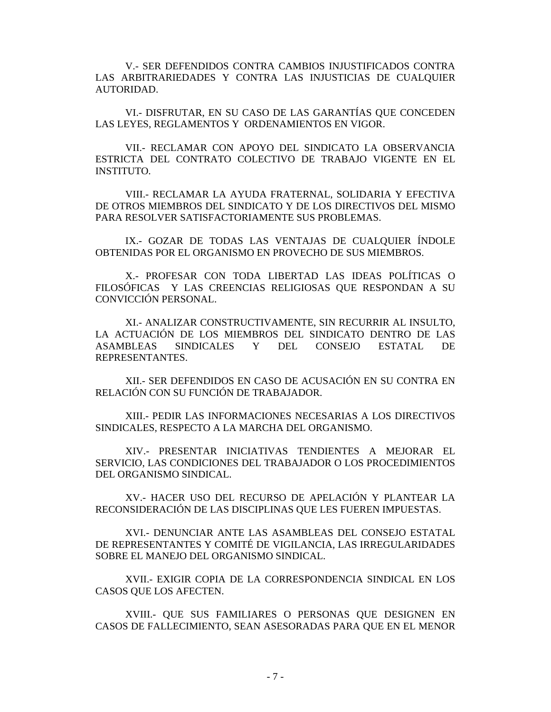V.- SER DEFENDIDOS CONTRA CAMBIOS INJUSTIFICADOS CONTRA LAS ARBITRARIEDADES Y CONTRA LAS INJUSTICIAS DE CUALQUIER AUTORIDAD.

VI.- DISFRUTAR, EN SU CASO DE LAS GARANTÍAS QUE CONCEDEN LAS LEYES, REGLAMENTOS Y ORDENAMIENTOS EN VIGOR.

VII.- RECLAMAR CON APOYO DEL SINDICATO LA OBSERVANCIA ESTRICTA DEL CONTRATO COLECTIVO DE TRABAJO VIGENTE EN EL INSTITUTO.

VIII.- RECLAMAR LA AYUDA FRATERNAL, SOLIDARIA Y EFECTIVA DE OTROS MIEMBROS DEL SINDICATO Y DE LOS DIRECTIVOS DEL MISMO PARA RESOLVER SATISFACTORIAMENTE SUS PROBLEMAS.

IX.- GOZAR DE TODAS LAS VENTAJAS DE CUALQUIER ÍNDOLE OBTENIDAS POR EL ORGANISMO EN PROVECHO DE SUS MIEMBROS.

X.- PROFESAR CON TODA LIBERTAD LAS IDEAS POLÍTICAS O FILOSÓFICAS Y LAS CREENCIAS RELIGIOSAS QUE RESPONDAN A SU CONVICCIÓN PERSONAL.

XI.- ANALIZAR CONSTRUCTIVAMENTE, SIN RECURRIR AL INSULTO, LA ACTUACIÓN DE LOS MIEMBROS DEL SINDICATO DENTRO DE LAS ASAMBLEAS SINDICALES Y DEL CONSEJO ESTATAL DE REPRESENTANTES.

XII.- SER DEFENDIDOS EN CASO DE ACUSACIÓN EN SU CONTRA EN RELACIÓN CON SU FUNCIÓN DE TRABAJADOR.

XIII.- PEDIR LAS INFORMACIONES NECESARIAS A LOS DIRECTIVOS SINDICALES, RESPECTO A LA MARCHA DEL ORGANISMO.

XIV.- PRESENTAR INICIATIVAS TENDIENTES A MEJORAR EL SERVICIO, LAS CONDICIONES DEL TRABAJADOR O LOS PROCEDIMIENTOS DEL ORGANISMO SINDICAL.

XV.- HACER USO DEL RECURSO DE APELACIÓN Y PLANTEAR LA RECONSIDERACIÓN DE LAS DISCIPLINAS QUE LES FUEREN IMPUESTAS.

XVI.- DENUNCIAR ANTE LAS ASAMBLEAS DEL CONSEJO ESTATAL DE REPRESENTANTES Y COMITÉ DE VIGILANCIA, LAS IRREGULARIDADES SOBRE EL MANEJO DEL ORGANISMO SINDICAL.

XVII.- EXIGIR COPIA DE LA CORRESPONDENCIA SINDICAL EN LOS CASOS QUE LOS AFECTEN.

XVIII.- QUE SUS FAMILIARES O PERSONAS QUE DESIGNEN EN CASOS DE FALLECIMIENTO, SEAN ASESORADAS PARA QUE EN EL MENOR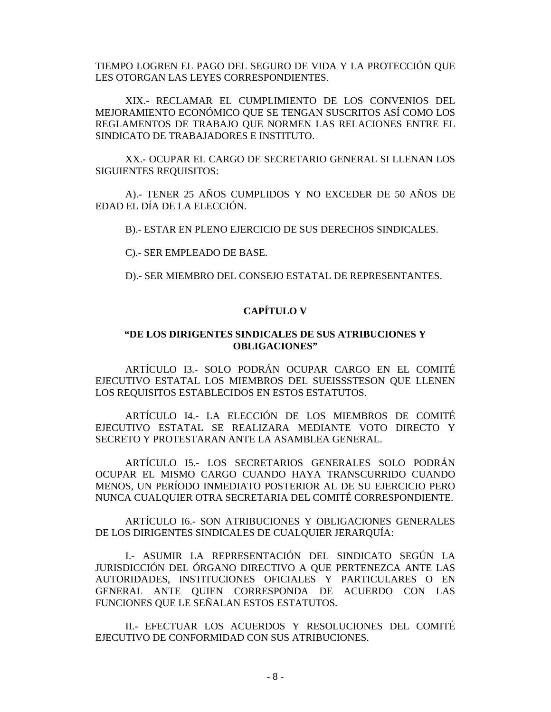TIEMPO LOGREN EL PAGO DEL SEGURO DE VIDA Y LA PROTECCIÓN QUE LES OTORGAN LAS LEYES CORRESPONDIENTES.

XIX.- RECLAMAR EL CUMPLIMIENTO DE LOS CONVENIOS DEL MEJORAMIENTO ECONÓMICO QUE SE TENGAN SUSCRITOS ASÍ COMO LOS REGLAMENTOS DE TRABAJO QUE NORMEN LAS RELACIONES ENTRE EL SINDICATO DE TRABAJADORES E INSTITUTO.

XX.- OCUPAR EL CARGO DE SECRETARIO GENERAL SI LLENAN LOS SIGUIENTES REQUISITOS:

A).- TENER 25 AÑOS CUMPLIDOS Y NO EXCEDER DE 50 AÑOS DE EDAD EL DÍA DE LA ELECCIÓN.

B).- ESTAR EN PLENO EJERCICIO DE SUS DERECHOS SINDICALES.

C).- SER EMPLEADO DE BASE.

D).- SER MIEMBRO DEL CONSEJO ESTATAL DE REPRESENTANTES.

# **CAPÍTULO V**

## **"DE LOS DIRIGENTES SINDICALES DE SUS ATRIBUCIONES Y OBLIGACIONES"**

ARTÍCULO I3.- SOLO PODRÁN OCUPAR CARGO EN EL COMITÉ EJECUTIVO ESTATAL LOS MIEMBROS DEL SUEISSSTESON QUE LLENEN LOS REQUISITOS ESTABLECIDOS EN ESTOS ESTATUTOS.

ARTÍCULO I4.- LA ELECCIÓN DE LOS MIEMBROS DE COMITÉ EJECUTIVO ESTATAL SE REALIZARA MEDIANTE VOTO DIRECTO Y SECRETO Y PROTESTARAN ANTE LA ASAMBLEA GENERAL.

ARTÍCULO I5.- LOS SECRETARIOS GENERALES SOLO PODRÁN OCUPAR EL MISMO CARGO CUANDO HAYA TRANSCURRIDO CUANDO MENOS, UN PERÍODO INMEDIATO POSTERIOR AL DE SU EJERCICIO PERO NUNCA CUALQUIER OTRA SECRETARIA DEL COMITÉ CORRESPONDIENTE.

ARTÍCULO I6.- SON ATRIBUCIONES Y OBLIGACIONES GENERALES DE LOS DIRIGENTES SINDICALES DE CUALQUIER JERARQUÍA:

I.- ASUMIR LA REPRESENTACIÓN DEL SINDICATO SEGÚN LA JURISDICCIÓN DEL ÓRGANO DIRECTIVO A QUE PERTENEZCA ANTE LAS AUTORIDADES, INSTITUCIONES OFICIALES Y PARTICULARES O EN GENERAL ANTE QUIEN CORRESPONDA DE ACUERDO CON LAS FUNCIONES QUE LE SEÑALAN ESTOS ESTATUTOS.

II.- EFECTUAR LOS ACUERDOS Y RESOLUCIONES DEL COMITÉ EJECUTIVO DE CONFORMIDAD CON SUS ATRIBUCIONES.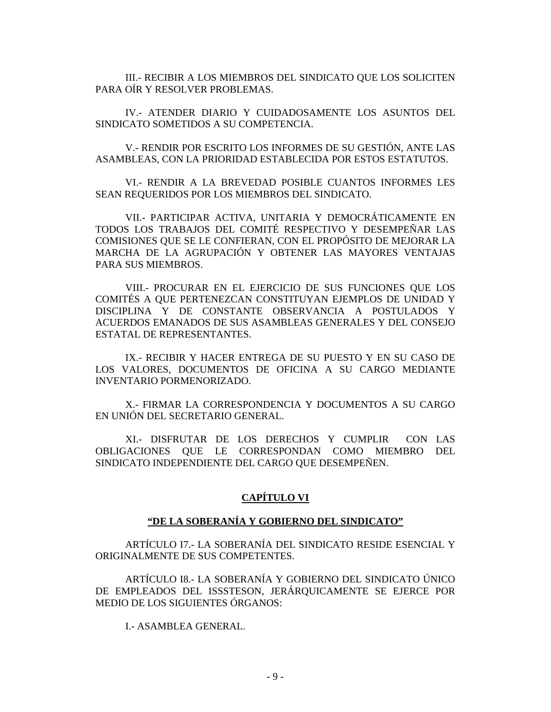III.- RECIBIR A LOS MIEMBROS DEL SINDICATO QUE LOS SOLICITEN PARA OÍR Y RESOLVER PROBLEMAS.

IV.- ATENDER DIARIO Y CUIDADOSAMENTE LOS ASUNTOS DEL SINDICATO SOMETIDOS A SU COMPETENCIA.

V.- RENDIR POR ESCRITO LOS INFORMES DE SU GESTIÓN, ANTE LAS ASAMBLEAS, CON LA PRIORIDAD ESTABLECIDA POR ESTOS ESTATUTOS.

VI.- RENDIR A LA BREVEDAD POSIBLE CUANTOS INFORMES LES SEAN REQUERIDOS POR LOS MIEMBROS DEL SINDICATO.

VII.- PARTICIPAR ACTIVA, UNITARIA Y DEMOCRÁTICAMENTE EN TODOS LOS TRABAJOS DEL COMITÉ RESPECTIVO Y DESEMPEÑAR LAS COMISIONES QUE SE LE CONFIERAN, CON EL PROPÓSITO DE MEJORAR LA MARCHA DE LA AGRUPACIÓN Y OBTENER LAS MAYORES VENTAJAS PARA SUS MIEMBROS.

VIII.- PROCURAR EN EL EJERCICIO DE SUS FUNCIONES QUE LOS COMITÉS A QUE PERTENEZCAN CONSTITUYAN EJEMPLOS DE UNIDAD Y DISCIPLINA Y DE CONSTANTE OBSERVANCIA A POSTULADOS Y ACUERDOS EMANADOS DE SUS ASAMBLEAS GENERALES Y DEL CONSEJO ESTATAL DE REPRESENTANTES.

IX.- RECIBIR Y HACER ENTREGA DE SU PUESTO Y EN SU CASO DE LOS VALORES, DOCUMENTOS DE OFICINA A SU CARGO MEDIANTE INVENTARIO PORMENORIZADO.

X.- FIRMAR LA CORRESPONDENCIA Y DOCUMENTOS A SU CARGO EN UNIÓN DEL SECRETARIO GENERAL.

XI.- DISFRUTAR DE LOS DERECHOS Y CUMPLIR CON LAS OBLIGACIONES QUE LE CORRESPONDAN COMO MIEMBRO DEL SINDICATO INDEPENDIENTE DEL CARGO QUE DESEMPEÑEN.

## **CAPÍTULO VI**

# **"DE LA SOBERANÍA Y GOBIERNO DEL SINDICATO"**

ARTÍCULO I7.- LA SOBERANÍA DEL SINDICATO RESIDE ESENCIAL Y ORIGINALMENTE DE SUS COMPETENTES.

ARTÍCULO I8.- LA SOBERANÍA Y GOBIERNO DEL SINDICATO ÚNICO DE EMPLEADOS DEL ISSSTESON, JERÁRQUICAMENTE SE EJERCE POR MEDIO DE LOS SIGUIENTES ÓRGANOS:

I.- ASAMBLEA GENERAL.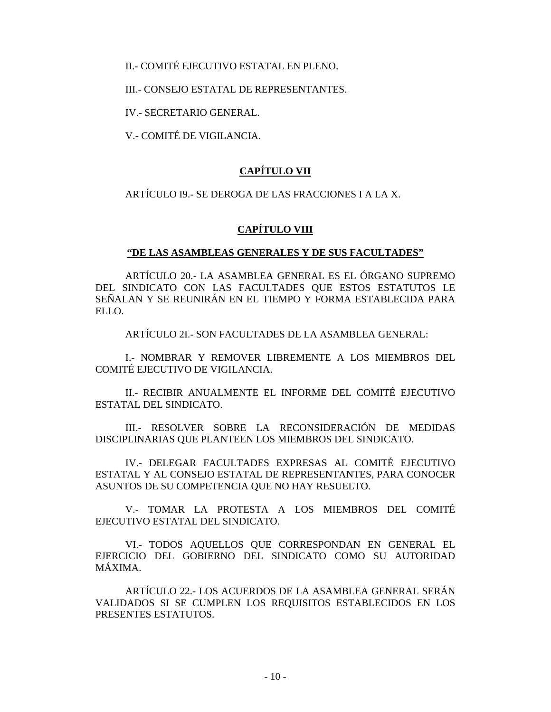II.- COMITÉ EJECUTIVO ESTATAL EN PLENO.

III.- CONSEJO ESTATAL DE REPRESENTANTES.

IV.- SECRETARIO GENERAL.

V.- COMITÉ DE VIGILANCIA.

# **CAPÍTULO VII**

ARTÍCULO I9.- SE DEROGA DE LAS FRACCIONES I A LA X.

# **CAPÍTULO VIII**

## **"DE LAS ASAMBLEAS GENERALES Y DE SUS FACULTADES"**

ARTÍCULO 20.- LA ASAMBLEA GENERAL ES EL ÓRGANO SUPREMO DEL SINDICATO CON LAS FACULTADES QUE ESTOS ESTATUTOS LE SEÑALAN Y SE REUNIRÁN EN EL TIEMPO Y FORMA ESTABLECIDA PARA ELLO.

ARTÍCULO 2I.- SON FACULTADES DE LA ASAMBLEA GENERAL:

I.- NOMBRAR Y REMOVER LIBREMENTE A LOS MIEMBROS DEL COMITÉ EJECUTIVO DE VIGILANCIA.

II.- RECIBIR ANUALMENTE EL INFORME DEL COMITÉ EJECUTIVO ESTATAL DEL SINDICATO.

III.- RESOLVER SOBRE LA RECONSIDERACIÓN DE MEDIDAS DISCIPLINARIAS QUE PLANTEEN LOS MIEMBROS DEL SINDICATO.

IV.- DELEGAR FACULTADES EXPRESAS AL COMITÉ EJECUTIVO ESTATAL Y AL CONSEJO ESTATAL DE REPRESENTANTES, PARA CONOCER ASUNTOS DE SU COMPETENCIA QUE NO HAY RESUELTO.

V.- TOMAR LA PROTESTA A LOS MIEMBROS DEL COMITÉ EJECUTIVO ESTATAL DEL SINDICATO.

VI.- TODOS AQUELLOS QUE CORRESPONDAN EN GENERAL EL EJERCICIO DEL GOBIERNO DEL SINDICATO COMO SU AUTORIDAD MÁXIMA.

ARTÍCULO 22.- LOS ACUERDOS DE LA ASAMBLEA GENERAL SERÁN VALIDADOS SI SE CUMPLEN LOS REQUISITOS ESTABLECIDOS EN LOS PRESENTES ESTATUTOS.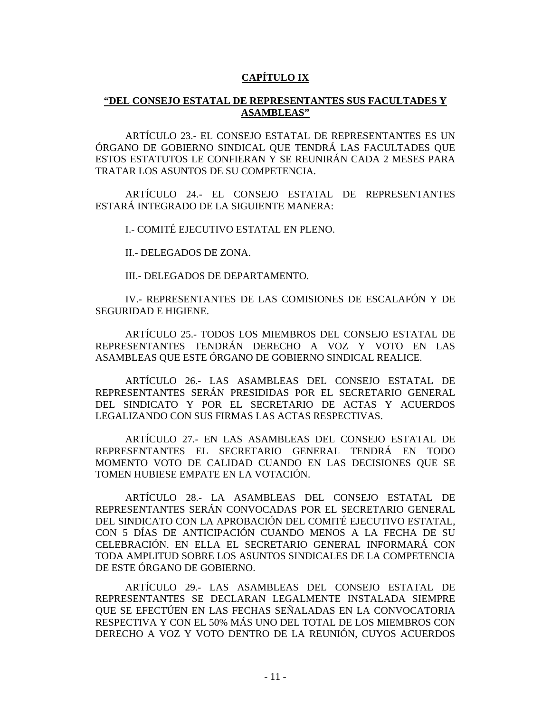# **CAPÍTULO IX**

## **"DEL CONSEJO ESTATAL DE REPRESENTANTES SUS FACULTADES Y ASAMBLEAS"**

ARTÍCULO 23.- EL CONSEJO ESTATAL DE REPRESENTANTES ES UN ÓRGANO DE GOBIERNO SINDICAL QUE TENDRÁ LAS FACULTADES QUE ESTOS ESTATUTOS LE CONFIERAN Y SE REUNIRÁN CADA 2 MESES PARA TRATAR LOS ASUNTOS DE SU COMPETENCIA.

ARTÍCULO 24.- EL CONSEJO ESTATAL DE REPRESENTANTES ESTARÁ INTEGRADO DE LA SIGUIENTE MANERA:

I.- COMITÉ EJECUTIVO ESTATAL EN PLENO.

II.- DELEGADOS DE ZONA.

III.- DELEGADOS DE DEPARTAMENTO.

IV.- REPRESENTANTES DE LAS COMISIONES DE ESCALAFÓN Y DE SEGURIDAD E HIGIENE.

ARTÍCULO 25.- TODOS LOS MIEMBROS DEL CONSEJO ESTATAL DE REPRESENTANTES TENDRÁN DERECHO A VOZ Y VOTO EN LAS ASAMBLEAS QUE ESTE ÓRGANO DE GOBIERNO SINDICAL REALICE.

ARTÍCULO 26.- LAS ASAMBLEAS DEL CONSEJO ESTATAL DE REPRESENTANTES SERÁN PRESIDIDAS POR EL SECRETARIO GENERAL DEL SINDICATO Y POR EL SECRETARIO DE ACTAS Y ACUERDOS LEGALIZANDO CON SUS FIRMAS LAS ACTAS RESPECTIVAS.

ARTÍCULO 27.- EN LAS ASAMBLEAS DEL CONSEJO ESTATAL DE REPRESENTANTES EL SECRETARIO GENERAL TENDRÁ EN TODO MOMENTO VOTO DE CALIDAD CUANDO EN LAS DECISIONES QUE SE TOMEN HUBIESE EMPATE EN LA VOTACIÓN.

ARTÍCULO 28.- LA ASAMBLEAS DEL CONSEJO ESTATAL DE REPRESENTANTES SERÁN CONVOCADAS POR EL SECRETARIO GENERAL DEL SINDICATO CON LA APROBACIÓN DEL COMITÉ EJECUTIVO ESTATAL, CON 5 DÍAS DE ANTICIPACIÓN CUANDO MENOS A LA FECHA DE SU CELEBRACIÓN. EN ELLA EL SECRETARIO GENERAL INFORMARÁ CON TODA AMPLITUD SOBRE LOS ASUNTOS SINDICALES DE LA COMPETENCIA DE ESTE ÓRGANO DE GOBIERNO.

ARTÍCULO 29.- LAS ASAMBLEAS DEL CONSEJO ESTATAL DE REPRESENTANTES SE DECLARAN LEGALMENTE INSTALADA SIEMPRE QUE SE EFECTÚEN EN LAS FECHAS SEÑALADAS EN LA CONVOCATORIA RESPECTIVA Y CON EL 50% MÁS UNO DEL TOTAL DE LOS MIEMBROS CON DERECHO A VOZ Y VOTO DENTRO DE LA REUNIÓN, CUYOS ACUERDOS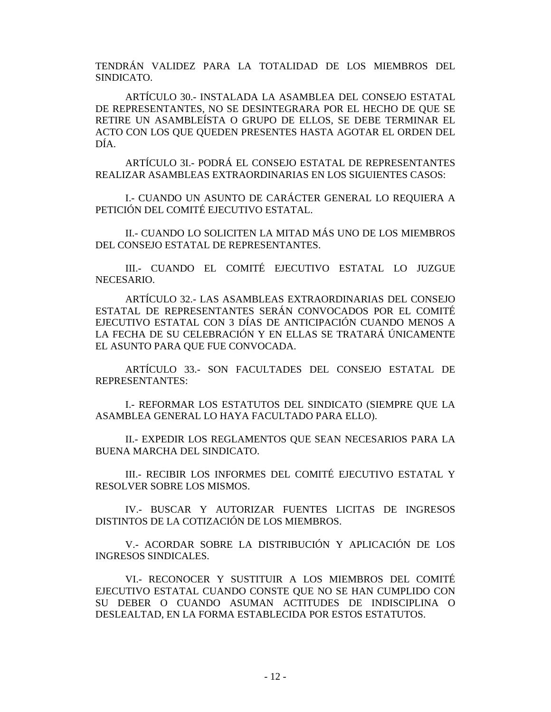TENDRÁN VALIDEZ PARA LA TOTALIDAD DE LOS MIEMBROS DEL SINDICATO.

ARTÍCULO 30.- INSTALADA LA ASAMBLEA DEL CONSEJO ESTATAL DE REPRESENTANTES, NO SE DESINTEGRARA POR EL HECHO DE QUE SE RETIRE UN ASAMBLEÍSTA O GRUPO DE ELLOS, SE DEBE TERMINAR EL ACTO CON LOS QUE QUEDEN PRESENTES HASTA AGOTAR EL ORDEN DEL DÍA.

ARTÍCULO 3I.- PODRÁ EL CONSEJO ESTATAL DE REPRESENTANTES REALIZAR ASAMBLEAS EXTRAORDINARIAS EN LOS SIGUIENTES CASOS:

I.- CUANDO UN ASUNTO DE CARÁCTER GENERAL LO REQUIERA A PETICIÓN DEL COMITÉ EJECUTIVO ESTATAL.

II.- CUANDO LO SOLICITEN LA MITAD MÁS UNO DE LOS MIEMBROS DEL CONSEJO ESTATAL DE REPRESENTANTES.

III.- CUANDO EL COMITÉ EJECUTIVO ESTATAL LO JUZGUE NECESARIO.

ARTÍCULO 32.- LAS ASAMBLEAS EXTRAORDINARIAS DEL CONSEJO ESTATAL DE REPRESENTANTES SERÁN CONVOCADOS POR EL COMITÉ EJECUTIVO ESTATAL CON 3 DÍAS DE ANTICIPACIÓN CUANDO MENOS A LA FECHA DE SU CELEBRACIÓN Y EN ELLAS SE TRATARÁ ÚNICAMENTE EL ASUNTO PARA QUE FUE CONVOCADA.

ARTÍCULO 33.- SON FACULTADES DEL CONSEJO ESTATAL DE REPRESENTANTES:

I.- REFORMAR LOS ESTATUTOS DEL SINDICATO (SIEMPRE QUE LA ASAMBLEA GENERAL LO HAYA FACULTADO PARA ELLO).

II.- EXPEDIR LOS REGLAMENTOS QUE SEAN NECESARIOS PARA LA BUENA MARCHA DEL SINDICATO.

III.- RECIBIR LOS INFORMES DEL COMITÉ EJECUTIVO ESTATAL Y RESOLVER SOBRE LOS MISMOS.

IV.- BUSCAR Y AUTORIZAR FUENTES LICITAS DE INGRESOS DISTINTOS DE LA COTIZACIÓN DE LOS MIEMBROS.

V.- ACORDAR SOBRE LA DISTRIBUCIÓN Y APLICACIÓN DE LOS INGRESOS SINDICALES.

VI.- RECONOCER Y SUSTITUIR A LOS MIEMBROS DEL COMITÉ EJECUTIVO ESTATAL CUANDO CONSTE QUE NO SE HAN CUMPLIDO CON SU DEBER O CUANDO ASUMAN ACTITUDES DE INDISCIPLINA O DESLEALTAD, EN LA FORMA ESTABLECIDA POR ESTOS ESTATUTOS.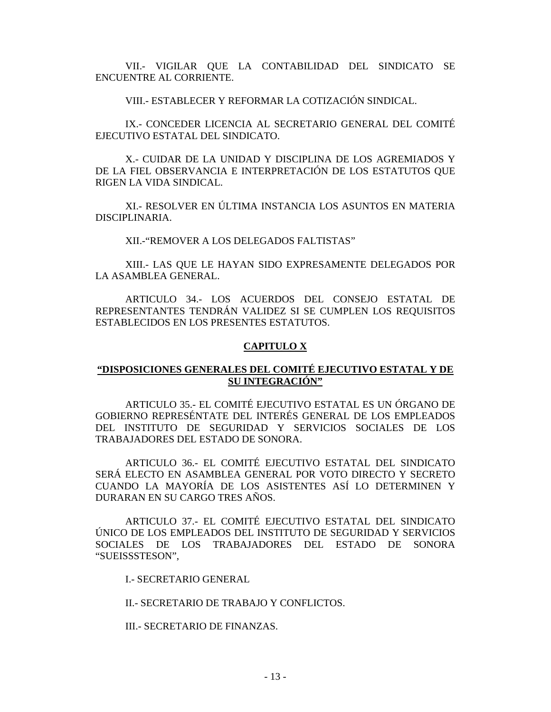VII.- VIGILAR QUE LA CONTABILIDAD DEL SINDICATO SE ENCUENTRE AL CORRIENTE.

VIII.- ESTABLECER Y REFORMAR LA COTIZACIÓN SINDICAL.

IX.- CONCEDER LICENCIA AL SECRETARIO GENERAL DEL COMITÉ EJECUTIVO ESTATAL DEL SINDICATO.

X.- CUIDAR DE LA UNIDAD Y DISCIPLINA DE LOS AGREMIADOS Y DE LA FIEL OBSERVANCIA E INTERPRETACIÓN DE LOS ESTATUTOS QUE RIGEN LA VIDA SINDICAL.

XI.- RESOLVER EN ÚLTIMA INSTANCIA LOS ASUNTOS EN MATERIA DISCIPLINARIA.

XII.-"REMOVER A LOS DELEGADOS FALTISTAS"

XIII.- LAS QUE LE HAYAN SIDO EXPRESAMENTE DELEGADOS POR LA ASAMBLEA GENERAL.

ARTICULO 34.- LOS ACUERDOS DEL CONSEJO ESTATAL DE REPRESENTANTES TENDRÁN VALIDEZ SI SE CUMPLEN LOS REQUISITOS ESTABLECIDOS EN LOS PRESENTES ESTATUTOS.

#### **CAPITULO X**

## **"DISPOSICIONES GENERALES DEL COMITÉ EJECUTIVO ESTATAL Y DE SU INTEGRACIÓN"**

ARTICULO 35.- EL COMITÉ EJECUTIVO ESTATAL ES UN ÓRGANO DE GOBIERNO REPRESÉNTATE DEL INTERÉS GENERAL DE LOS EMPLEADOS DEL INSTITUTO DE SEGURIDAD Y SERVICIOS SOCIALES DE LOS TRABAJADORES DEL ESTADO DE SONORA.

ARTICULO 36.- EL COMITÉ EJECUTIVO ESTATAL DEL SINDICATO SERÁ ELECTO EN ASAMBLEA GENERAL POR VOTO DIRECTO Y SECRETO CUANDO LA MAYORÍA DE LOS ASISTENTES ASÍ LO DETERMINEN Y DURARAN EN SU CARGO TRES AÑOS.

ARTICULO 37.- EL COMITÉ EJECUTIVO ESTATAL DEL SINDICATO ÚNICO DE LOS EMPLEADOS DEL INSTITUTO DE SEGURIDAD Y SERVICIOS SOCIALES DE LOS TRABAJADORES DEL ESTADO DE SONORA "SUEISSSTESON",

I.- SECRETARIO GENERAL

II.- SECRETARIO DE TRABAJO Y CONFLICTOS.

III.- SECRETARIO DE FINANZAS.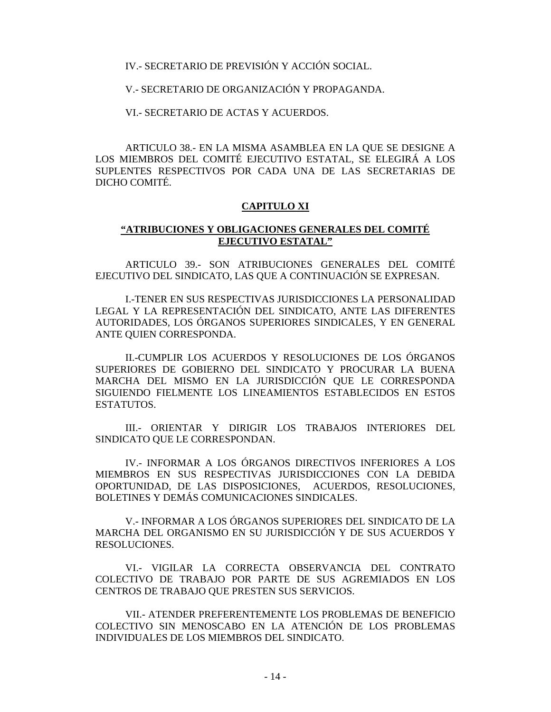IV.- SECRETARIO DE PREVISIÓN Y ACCIÓN SOCIAL.

V.- SECRETARIO DE ORGANIZACIÓN Y PROPAGANDA.

VI.- SECRETARIO DE ACTAS Y ACUERDOS.

ARTICULO 38.- EN LA MISMA ASAMBLEA EN LA QUE SE DESIGNE A LOS MIEMBROS DEL COMITÉ EJECUTIVO ESTATAL, SE ELEGIRÁ A LOS SUPLENTES RESPECTIVOS POR CADA UNA DE LAS SECRETARIAS DE DICHO COMITÉ.

#### **CAPITULO XI**

#### **"ATRIBUCIONES Y OBLIGACIONES GENERALES DEL COMITÉ EJECUTIVO ESTATAL"**

ARTICULO 39.- SON ATRIBUCIONES GENERALES DEL COMITÉ EJECUTIVO DEL SINDICATO, LAS QUE A CONTINUACIÓN SE EXPRESAN.

I.-TENER EN SUS RESPECTIVAS JURISDICCIONES LA PERSONALIDAD LEGAL Y LA REPRESENTACIÓN DEL SINDICATO, ANTE LAS DIFERENTES AUTORIDADES, LOS ÓRGANOS SUPERIORES SINDICALES, Y EN GENERAL ANTE QUIEN CORRESPONDA.

II.-CUMPLIR LOS ACUERDOS Y RESOLUCIONES DE LOS ÓRGANOS SUPERIORES DE GOBIERNO DEL SINDICATO Y PROCURAR LA BUENA MARCHA DEL MISMO EN LA JURISDICCIÓN QUE LE CORRESPONDA SIGUIENDO FIELMENTE LOS LINEAMIENTOS ESTABLECIDOS EN ESTOS ESTATUTOS.

III.- ORIENTAR Y DIRIGIR LOS TRABAJOS INTERIORES DEL SINDICATO QUE LE CORRESPONDAN.

IV.- INFORMAR A LOS ÓRGANOS DIRECTIVOS INFERIORES A LOS MIEMBROS EN SUS RESPECTIVAS JURISDICCIONES CON LA DEBIDA OPORTUNIDAD, DE LAS DISPOSICIONES, ACUERDOS, RESOLUCIONES, BOLETINES Y DEMÁS COMUNICACIONES SINDICALES.

V.- INFORMAR A LOS ÓRGANOS SUPERIORES DEL SINDICATO DE LA MARCHA DEL ORGANISMO EN SU JURISDICCIÓN Y DE SUS ACUERDOS Y RESOLUCIONES.

VI.- VIGILAR LA CORRECTA OBSERVANCIA DEL CONTRATO COLECTIVO DE TRABAJO POR PARTE DE SUS AGREMIADOS EN LOS CENTROS DE TRABAJO QUE PRESTEN SUS SERVICIOS.

VII.- ATENDER PREFERENTEMENTE LOS PROBLEMAS DE BENEFICIO COLECTIVO SIN MENOSCABO EN LA ATENCIÓN DE LOS PROBLEMAS INDIVIDUALES DE LOS MIEMBROS DEL SINDICATO.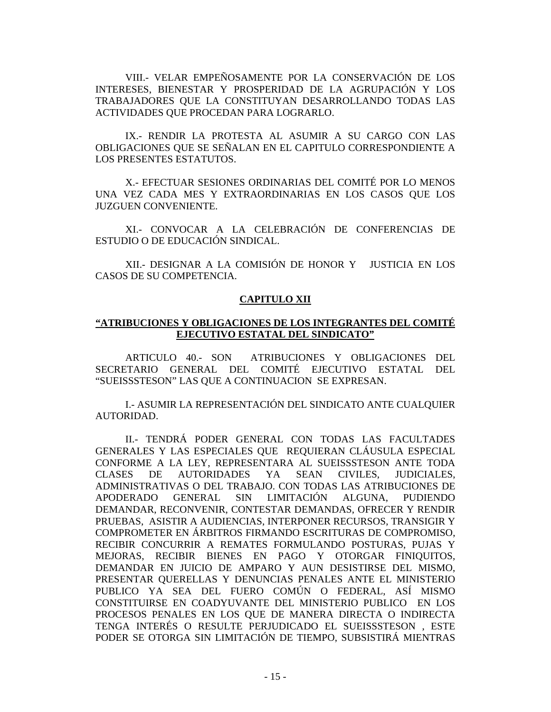VIII.- VELAR EMPEÑOSAMENTE POR LA CONSERVACIÓN DE LOS INTERESES, BIENESTAR Y PROSPERIDAD DE LA AGRUPACIÓN Y LOS TRABAJADORES QUE LA CONSTITUYAN DESARROLLANDO TODAS LAS ACTIVIDADES QUE PROCEDAN PARA LOGRARLO.

IX.- RENDIR LA PROTESTA AL ASUMIR A SU CARGO CON LAS OBLIGACIONES QUE SE SEÑALAN EN EL CAPITULO CORRESPONDIENTE A LOS PRESENTES ESTATUTOS.

X.- EFECTUAR SESIONES ORDINARIAS DEL COMITÉ POR LO MENOS UNA VEZ CADA MES Y EXTRAORDINARIAS EN LOS CASOS QUE LOS JUZGUEN CONVENIENTE.

XI.- CONVOCAR A LA CELEBRACIÓN DE CONFERENCIAS DE ESTUDIO O DE EDUCACIÓN SINDICAL.

XII.- DESIGNAR A LA COMISIÓN DE HONOR Y JUSTICIA EN LOS CASOS DE SU COMPETENCIA.

## **CAPITULO XII**

## **"ATRIBUCIONES Y OBLIGACIONES DE LOS INTEGRANTES DEL COMITÉ EJECUTIVO ESTATAL DEL SINDICATO"**

ARTICULO 40.- SON ATRIBUCIONES Y OBLIGACIONES DEL SECRETARIO GENERAL DEL COMITÉ EJECUTIVO ESTATAL DEL "SUEISSSTESON" LAS QUE A CONTINUACION SE EXPRESAN.

I.- ASUMIR LA REPRESENTACIÓN DEL SINDICATO ANTE CUALQUIER AUTORIDAD.

II.- TENDRÁ PODER GENERAL CON TODAS LAS FACULTADES GENERALES Y LAS ESPECIALES QUE REQUIERAN CLÁUSULA ESPECIAL CONFORME A LA LEY, REPRESENTARA AL SUEISSSTESON ANTE TODA CLASES DE AUTORIDADES YA SEAN CIVILES, JUDICIALES, ADMINISTRATIVAS O DEL TRABAJO. CON TODAS LAS ATRIBUCIONES DE APODERADO GENERAL SIN LIMITACIÓN ALGUNA, PUDIENDO DEMANDAR, RECONVENIR, CONTESTAR DEMANDAS, OFRECER Y RENDIR PRUEBAS, ASISTIR A AUDIENCIAS, INTERPONER RECURSOS, TRANSIGIR Y COMPROMETER EN ÁRBITROS FIRMANDO ESCRITURAS DE COMPROMISO, RECIBIR CONCURRIR A REMATES FORMULANDO POSTURAS, PUJAS Y MEJORAS, RECIBIR BIENES EN PAGO Y OTORGAR FINIQUITOS, DEMANDAR EN JUICIO DE AMPARO Y AUN DESISTIRSE DEL MISMO, PRESENTAR QUERELLAS Y DENUNCIAS PENALES ANTE EL MINISTERIO PUBLICO YA SEA DEL FUERO COMÚN O FEDERAL, ASÍ MISMO CONSTITUIRSE EN COADYUVANTE DEL MINISTERIO PUBLICO EN LOS PROCESOS PENALES EN LOS QUE DE MANERA DIRECTA O INDIRECTA TENGA INTERÉS O RESULTE PERJUDICADO EL SUEISSSTESON , ESTE PODER SE OTORGA SIN LIMITACIÓN DE TIEMPO, SUBSISTIRÁ MIENTRAS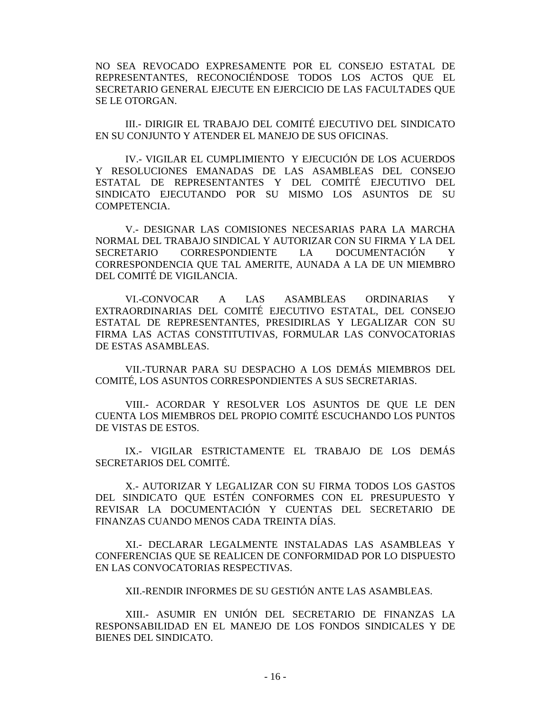NO SEA REVOCADO EXPRESAMENTE POR EL CONSEJO ESTATAL DE REPRESENTANTES, RECONOCIÉNDOSE TODOS LOS ACTOS QUE EL SECRETARIO GENERAL EJECUTE EN EJERCICIO DE LAS FACULTADES QUE SE LE OTORGAN.

III.- DIRIGIR EL TRABAJO DEL COMITÉ EJECUTIVO DEL SINDICATO EN SU CONJUNTO Y ATENDER EL MANEJO DE SUS OFICINAS.

IV.- VIGILAR EL CUMPLIMIENTO Y EJECUCIÓN DE LOS ACUERDOS Y RESOLUCIONES EMANADAS DE LAS ASAMBLEAS DEL CONSEJO ESTATAL DE REPRESENTANTES Y DEL COMITÉ EJECUTIVO DEL SINDICATO EJECUTANDO POR SU MISMO LOS ASUNTOS DE SU COMPETENCIA.

V.- DESIGNAR LAS COMISIONES NECESARIAS PARA LA MARCHA NORMAL DEL TRABAJO SINDICAL Y AUTORIZAR CON SU FIRMA Y LA DEL SECRETARIO CORRESPONDIENTE LA DOCUMENTACIÓN Y CORRESPONDENCIA QUE TAL AMERITE, AUNADA A LA DE UN MIEMBRO DEL COMITÉ DE VIGILANCIA.

VI.-CONVOCAR A LAS ASAMBLEAS ORDINARIAS Y EXTRAORDINARIAS DEL COMITÉ EJECUTIVO ESTATAL, DEL CONSEJO ESTATAL DE REPRESENTANTES, PRESIDIRLAS Y LEGALIZAR CON SU FIRMA LAS ACTAS CONSTITUTIVAS, FORMULAR LAS CONVOCATORIAS DE ESTAS ASAMBLEAS.

VII.-TURNAR PARA SU DESPACHO A LOS DEMÁS MIEMBROS DEL COMITÉ, LOS ASUNTOS CORRESPONDIENTES A SUS SECRETARIAS.

VIII.- ACORDAR Y RESOLVER LOS ASUNTOS DE QUE LE DEN CUENTA LOS MIEMBROS DEL PROPIO COMITÉ ESCUCHANDO LOS PUNTOS DE VISTAS DE ESTOS.

IX.- VIGILAR ESTRICTAMENTE EL TRABAJO DE LOS DEMÁS SECRETARIOS DEL COMITÉ.

X.- AUTORIZAR Y LEGALIZAR CON SU FIRMA TODOS LOS GASTOS DEL SINDICATO QUE ESTÉN CONFORMES CON EL PRESUPUESTO Y REVISAR LA DOCUMENTACIÓN Y CUENTAS DEL SECRETARIO DE FINANZAS CUANDO MENOS CADA TREINTA DÍAS.

XI.- DECLARAR LEGALMENTE INSTALADAS LAS ASAMBLEAS Y CONFERENCIAS QUE SE REALICEN DE CONFORMIDAD POR LO DISPUESTO EN LAS CONVOCATORIAS RESPECTIVAS.

XII.-RENDIR INFORMES DE SU GESTIÓN ANTE LAS ASAMBLEAS.

XIII.- ASUMIR EN UNIÓN DEL SECRETARIO DE FINANZAS LA RESPONSABILIDAD EN EL MANEJO DE LOS FONDOS SINDICALES Y DE BIENES DEL SINDICATO.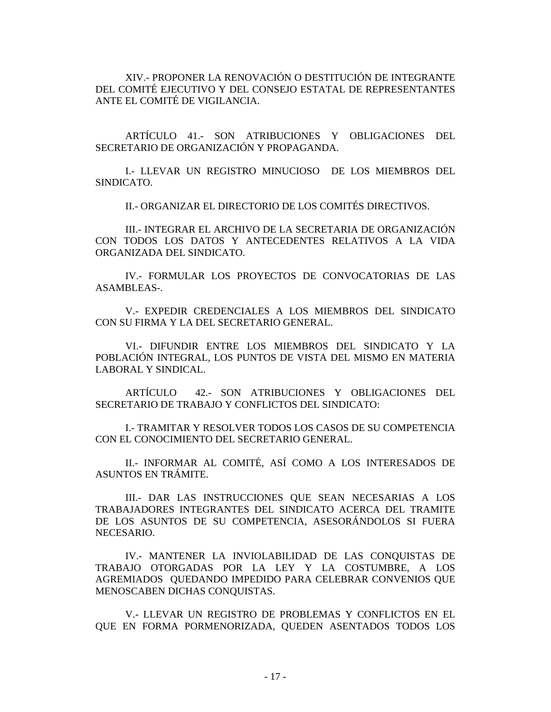XIV.- PROPONER LA RENOVACIÓN O DESTITUCIÓN DE INTEGRANTE DEL COMITÉ EJECUTIVO Y DEL CONSEJO ESTATAL DE REPRESENTANTES ANTE EL COMITÉ DE VIGILANCIA.

ARTÍCULO 41.- SON ATRIBUCIONES Y OBLIGACIONES DEL SECRETARIO DE ORGANIZACIÓN Y PROPAGANDA.

I.- LLEVAR UN REGISTRO MINUCIOSO DE LOS MIEMBROS DEL SINDICATO.

II.- ORGANIZAR EL DIRECTORIO DE LOS COMITÉS DIRECTIVOS.

III.- INTEGRAR EL ARCHIVO DE LA SECRETARIA DE ORGANIZACIÓN CON TODOS LOS DATOS Y ANTECEDENTES RELATIVOS A LA VIDA ORGANIZADA DEL SINDICATO.

IV.- FORMULAR LOS PROYECTOS DE CONVOCATORIAS DE LAS ASAMBLEAS-.

V.- EXPEDIR CREDENCIALES A LOS MIEMBROS DEL SINDICATO CON SU FIRMA Y LA DEL SECRETARIO GENERAL.

VI.- DIFUNDIR ENTRE LOS MIEMBROS DEL SINDICATO Y LA POBLACIÓN INTEGRAL, LOS PUNTOS DE VISTA DEL MISMO EN MATERIA LABORAL Y SINDICAL.

ARTÍCULO 42.- SON ATRIBUCIONES Y OBLIGACIONES DEL SECRETARIO DE TRABAJO Y CONFLICTOS DEL SINDICATO:

I.- TRAMITAR Y RESOLVER TODOS LOS CASOS DE SU COMPETENCIA CON EL CONOCIMIENTO DEL SECRETARIO GENERAL.

II.- INFORMAR AL COMITÉ, ASÍ COMO A LOS INTERESADOS DE ASUNTOS EN TRÁMITE.

III.- DAR LAS INSTRUCCIONES QUE SEAN NECESARIAS A LOS TRABAJADORES INTEGRANTES DEL SINDICATO ACERCA DEL TRAMITE DE LOS ASUNTOS DE SU COMPETENCIA, ASESORÁNDOLOS SI FUERA NECESARIO.

IV.- MANTENER LA INVIOLABILIDAD DE LAS CONQUISTAS DE TRABAJO OTORGADAS POR LA LEY Y LA COSTUMBRE, A LOS AGREMIADOS QUEDANDO IMPEDIDO PARA CELEBRAR CONVENIOS QUE MENOSCABEN DICHAS CONQUISTAS.

V.- LLEVAR UN REGISTRO DE PROBLEMAS Y CONFLICTOS EN EL QUE EN FORMA PORMENORIZADA, QUEDEN ASENTADOS TODOS LOS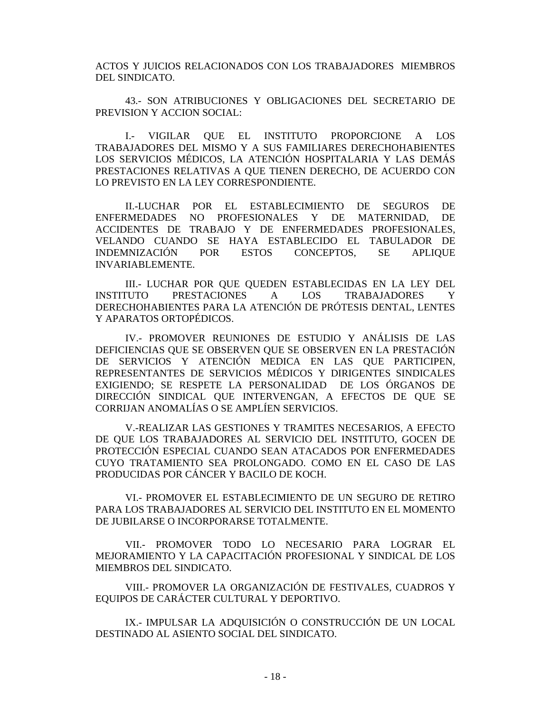ACTOS Y JUICIOS RELACIONADOS CON LOS TRABAJADORES MIEMBROS DEL SINDICATO.

43.- SON ATRIBUCIONES Y OBLIGACIONES DEL SECRETARIO DE PREVISION Y ACCION SOCIAL:

I.- VIGILAR QUE EL INSTITUTO PROPORCIONE A LOS TRABAJADORES DEL MISMO Y A SUS FAMILIARES DERECHOHABIENTES LOS SERVICIOS MÉDICOS, LA ATENCIÓN HOSPITALARIA Y LAS DEMÁS PRESTACIONES RELATIVAS A QUE TIENEN DERECHO, DE ACUERDO CON LO PREVISTO EN LA LEY CORRESPONDIENTE.

II.-LUCHAR POR EL ESTABLECIMIENTO DE SEGUROS DE ENFERMEDADES NO PROFESIONALES Y DE MATERNIDAD, DE ACCIDENTES DE TRABAJO Y DE ENFERMEDADES PROFESIONALES, VELANDO CUANDO SE HAYA ESTABLECIDO EL TABULADOR DE INDEMNIZACIÓN POR ESTOS CONCEPTOS, SE APLIQUE INVARIABLEMENTE.

III.- LUCHAR POR QUE QUEDEN ESTABLECIDAS EN LA LEY DEL INSTITUTO PRESTACIONES A LOS TRABAJADORES Y DERECHOHABIENTES PARA LA ATENCIÓN DE PRÓTESIS DENTAL, LENTES Y APARATOS ORTOPÉDICOS.

IV.- PROMOVER REUNIONES DE ESTUDIO Y ANÁLISIS DE LAS DEFICIENCIAS QUE SE OBSERVEN QUE SE OBSERVEN EN LA PRESTACIÓN DE SERVICIOS Y ATENCIÓN MEDICA EN LAS QUE PARTICIPEN, REPRESENTANTES DE SERVICIOS MÉDICOS Y DIRIGENTES SINDICALES EXIGIENDO; SE RESPETE LA PERSONALIDAD DE LOS ÓRGANOS DE DIRECCIÓN SINDICAL QUE INTERVENGAN, A EFECTOS DE QUE SE CORRIJAN ANOMALÍAS O SE AMPLÍEN SERVICIOS.

V.-REALIZAR LAS GESTIONES Y TRAMITES NECESARIOS, A EFECTO DE QUE LOS TRABAJADORES AL SERVICIO DEL INSTITUTO, GOCEN DE PROTECCIÓN ESPECIAL CUANDO SEAN ATACADOS POR ENFERMEDADES CUYO TRATAMIENTO SEA PROLONGADO. COMO EN EL CASO DE LAS PRODUCIDAS POR CÁNCER Y BACILO DE KOCH.

VI.- PROMOVER EL ESTABLECIMIENTO DE UN SEGURO DE RETIRO PARA LOS TRABAJADORES AL SERVICIO DEL INSTITUTO EN EL MOMENTO DE JUBILARSE O INCORPORARSE TOTALMENTE.

VII.- PROMOVER TODO LO NECESARIO PARA LOGRAR EL MEJORAMIENTO Y LA CAPACITACIÓN PROFESIONAL Y SINDICAL DE LOS MIEMBROS DEL SINDICATO.

VIII.- PROMOVER LA ORGANIZACIÓN DE FESTIVALES, CUADROS Y EQUIPOS DE CARÁCTER CULTURAL Y DEPORTIVO.

IX.- IMPULSAR LA ADQUISICIÓN O CONSTRUCCIÓN DE UN LOCAL DESTINADO AL ASIENTO SOCIAL DEL SINDICATO.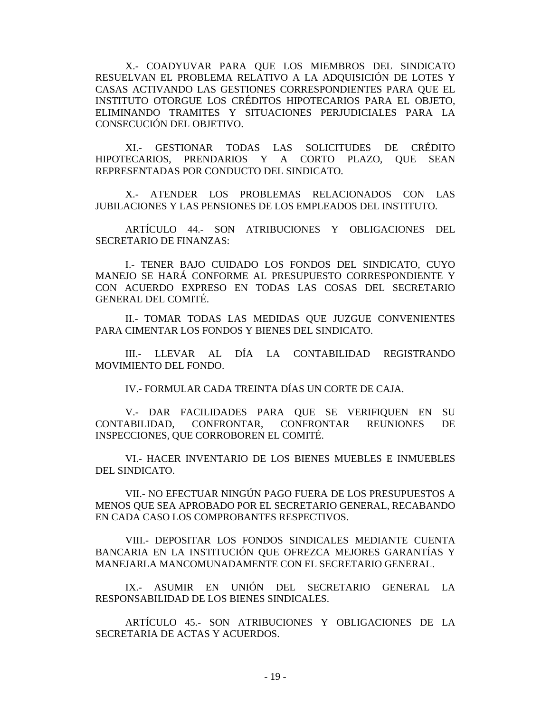X.- COADYUVAR PARA QUE LOS MIEMBROS DEL SINDICATO RESUELVAN EL PROBLEMA RELATIVO A LA ADQUISICIÓN DE LOTES Y CASAS ACTIVANDO LAS GESTIONES CORRESPONDIENTES PARA QUE EL INSTITUTO OTORGUE LOS CRÉDITOS HIPOTECARIOS PARA EL OBJETO, ELIMINANDO TRAMITES Y SITUACIONES PERJUDICIALES PARA LA CONSECUCIÓN DEL OBJETIVO.

XI.- GESTIONAR TODAS LAS SOLICITUDES DE CRÉDITO HIPOTECARIOS, PRENDARIOS Y A CORTO PLAZO, QUE SEAN REPRESENTADAS POR CONDUCTO DEL SINDICATO.

X.- ATENDER LOS PROBLEMAS RELACIONADOS CON LAS JUBILACIONES Y LAS PENSIONES DE LOS EMPLEADOS DEL INSTITUTO.

ARTÍCULO 44.- SON ATRIBUCIONES Y OBLIGACIONES DEL SECRETARIO DE FINANZAS:

I.- TENER BAJO CUIDADO LOS FONDOS DEL SINDICATO, CUYO MANEJO SE HARÁ CONFORME AL PRESUPUESTO CORRESPONDIENTE Y CON ACUERDO EXPRESO EN TODAS LAS COSAS DEL SECRETARIO GENERAL DEL COMITÉ.

II.- TOMAR TODAS LAS MEDIDAS QUE JUZGUE CONVENIENTES PARA CIMENTAR LOS FONDOS Y BIENES DEL SINDICATO.

III.- LLEVAR AL DÍA LA CONTABILIDAD REGISTRANDO MOVIMIENTO DEL FONDO.

IV.- FORMULAR CADA TREINTA DÍAS UN CORTE DE CAJA.

V.- DAR FACILIDADES PARA QUE SE VERIFIQUEN EN SU CONTABILIDAD, CONFRONTAR, CONFRONTAR REUNIONES DE INSPECCIONES, QUE CORROBOREN EL COMITÉ.

VI.- HACER INVENTARIO DE LOS BIENES MUEBLES E INMUEBLES DEL SINDICATO.

VII.- NO EFECTUAR NINGÚN PAGO FUERA DE LOS PRESUPUESTOS A MENOS QUE SEA APROBADO POR EL SECRETARIO GENERAL, RECABANDO EN CADA CASO LOS COMPROBANTES RESPECTIVOS.

VIII.- DEPOSITAR LOS FONDOS SINDICALES MEDIANTE CUENTA BANCARIA EN LA INSTITUCIÓN QUE OFREZCA MEJORES GARANTÍAS Y MANEJARLA MANCOMUNADAMENTE CON EL SECRETARIO GENERAL.

IX.- ASUMIR EN UNIÓN DEL SECRETARIO GENERAL LA RESPONSABILIDAD DE LOS BIENES SINDICALES.

ARTÍCULO 45.- SON ATRIBUCIONES Y OBLIGACIONES DE LA SECRETARIA DE ACTAS Y ACUERDOS.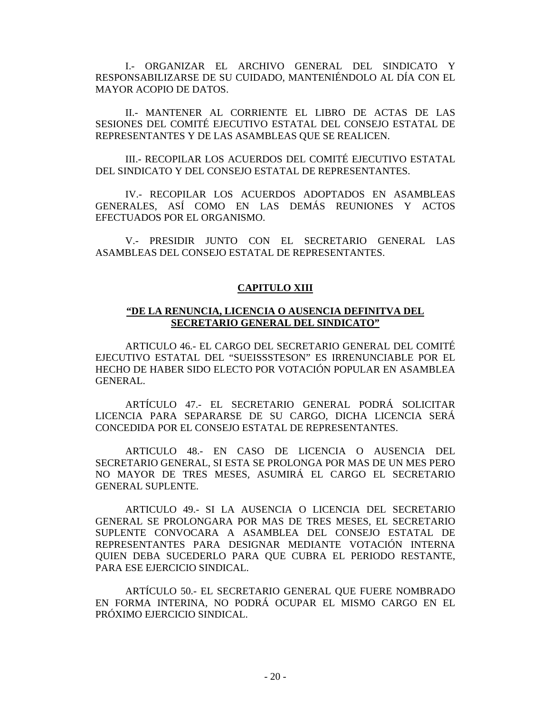I.- ORGANIZAR EL ARCHIVO GENERAL DEL SINDICATO Y RESPONSABILIZARSE DE SU CUIDADO, MANTENIÉNDOLO AL DÍA CON EL MAYOR ACOPIO DE DATOS.

II.- MANTENER AL CORRIENTE EL LIBRO DE ACTAS DE LAS SESIONES DEL COMITÉ EJECUTIVO ESTATAL DEL CONSEJO ESTATAL DE REPRESENTANTES Y DE LAS ASAMBLEAS QUE SE REALICEN.

III.- RECOPILAR LOS ACUERDOS DEL COMITÉ EJECUTIVO ESTATAL DEL SINDICATO Y DEL CONSEJO ESTATAL DE REPRESENTANTES.

IV.- RECOPILAR LOS ACUERDOS ADOPTADOS EN ASAMBLEAS GENERALES, ASÍ COMO EN LAS DEMÁS REUNIONES Y ACTOS EFECTUADOS POR EL ORGANISMO.

V.- PRESIDIR JUNTO CON EL SECRETARIO GENERAL LAS ASAMBLEAS DEL CONSEJO ESTATAL DE REPRESENTANTES.

## **CAPITULO XIII**

## **"DE LA RENUNCIA, LICENCIA O AUSENCIA DEFINITVA DEL SECRETARIO GENERAL DEL SINDICATO"**

ARTICULO 46.- EL CARGO DEL SECRETARIO GENERAL DEL COMITÉ EJECUTIVO ESTATAL DEL "SUEISSSTESON" ES IRRENUNCIABLE POR EL HECHO DE HABER SIDO ELECTO POR VOTACIÓN POPULAR EN ASAMBLEA GENERAL.

ARTÍCULO 47.- EL SECRETARIO GENERAL PODRÁ SOLICITAR LICENCIA PARA SEPARARSE DE SU CARGO, DICHA LICENCIA SERÁ CONCEDIDA POR EL CONSEJO ESTATAL DE REPRESENTANTES.

ARTICULO 48.- EN CASO DE LICENCIA O AUSENCIA DEL SECRETARIO GENERAL, SI ESTA SE PROLONGA POR MAS DE UN MES PERO NO MAYOR DE TRES MESES, ASUMIRÁ EL CARGO EL SECRETARIO GENERAL SUPLENTE.

ARTICULO 49.- SI LA AUSENCIA O LICENCIA DEL SECRETARIO GENERAL SE PROLONGARA POR MAS DE TRES MESES, EL SECRETARIO SUPLENTE CONVOCARA A ASAMBLEA DEL CONSEJO ESTATAL DE REPRESENTANTES PARA DESIGNAR MEDIANTE VOTACIÓN INTERNA QUIEN DEBA SUCEDERLO PARA QUE CUBRA EL PERIODO RESTANTE, PARA ESE EJERCICIO SINDICAL.

ARTÍCULO 50.- EL SECRETARIO GENERAL QUE FUERE NOMBRADO EN FORMA INTERINA, NO PODRÁ OCUPAR EL MISMO CARGO EN EL PRÓXIMO EJERCICIO SINDICAL.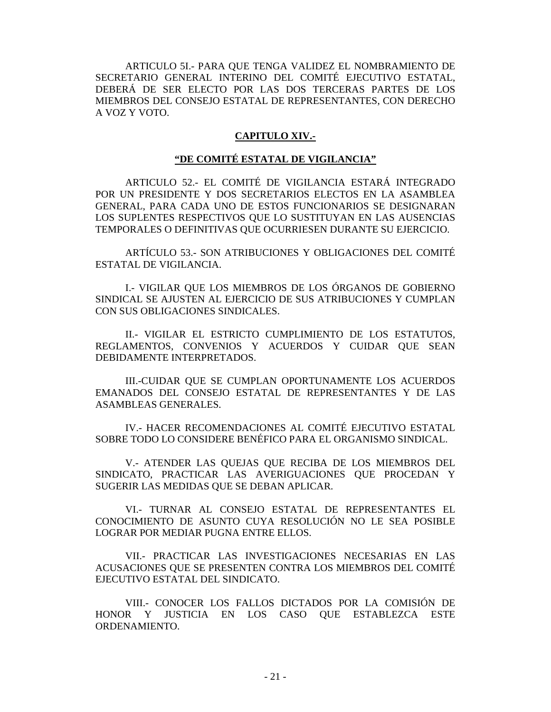ARTICULO 5I.- PARA QUE TENGA VALIDEZ EL NOMBRAMIENTO DE SECRETARIO GENERAL INTERINO DEL COMITÉ EJECUTIVO ESTATAL, DEBERÁ DE SER ELECTO POR LAS DOS TERCERAS PARTES DE LOS MIEMBROS DEL CONSEJO ESTATAL DE REPRESENTANTES, CON DERECHO A VOZ Y VOTO.

## **CAPITULO XIV.-**

# **"DE COMITÉ ESTATAL DE VIGILANCIA"**

ARTICULO 52.- EL COMITÉ DE VIGILANCIA ESTARÁ INTEGRADO POR UN PRESIDENTE Y DOS SECRETARIOS ELECTOS EN LA ASAMBLEA GENERAL, PARA CADA UNO DE ESTOS FUNCIONARIOS SE DESIGNARAN LOS SUPLENTES RESPECTIVOS QUE LO SUSTITUYAN EN LAS AUSENCIAS TEMPORALES O DEFINITIVAS QUE OCURRIESEN DURANTE SU EJERCICIO.

ARTÍCULO 53.- SON ATRIBUCIONES Y OBLIGACIONES DEL COMITÉ ESTATAL DE VIGILANCIA.

I.- VIGILAR QUE LOS MIEMBROS DE LOS ÓRGANOS DE GOBIERNO SINDICAL SE AJUSTEN AL EJERCICIO DE SUS ATRIBUCIONES Y CUMPLAN CON SUS OBLIGACIONES SINDICALES.

II.- VIGILAR EL ESTRICTO CUMPLIMIENTO DE LOS ESTATUTOS, REGLAMENTOS, CONVENIOS Y ACUERDOS Y CUIDAR QUE SEAN DEBIDAMENTE INTERPRETADOS.

III.-CUIDAR QUE SE CUMPLAN OPORTUNAMENTE LOS ACUERDOS EMANADOS DEL CONSEJO ESTATAL DE REPRESENTANTES Y DE LAS ASAMBLEAS GENERALES.

IV.- HACER RECOMENDACIONES AL COMITÉ EJECUTIVO ESTATAL SOBRE TODO LO CONSIDERE BENÉFICO PARA EL ORGANISMO SINDICAL.

V.- ATENDER LAS QUEJAS QUE RECIBA DE LOS MIEMBROS DEL SINDICATO, PRACTICAR LAS AVERIGUACIONES QUE PROCEDAN Y SUGERIR LAS MEDIDAS QUE SE DEBAN APLICAR.

VI.- TURNAR AL CONSEJO ESTATAL DE REPRESENTANTES EL CONOCIMIENTO DE ASUNTO CUYA RESOLUCIÓN NO LE SEA POSIBLE LOGRAR POR MEDIAR PUGNA ENTRE ELLOS.

VII.- PRACTICAR LAS INVESTIGACIONES NECESARIAS EN LAS ACUSACIONES QUE SE PRESENTEN CONTRA LOS MIEMBROS DEL COMITÉ EJECUTIVO ESTATAL DEL SINDICATO.

VIII.- CONOCER LOS FALLOS DICTADOS POR LA COMISIÓN DE HONOR Y JUSTICIA EN LOS CASO QUE ESTABLEZCA ESTE ORDENAMIENTO.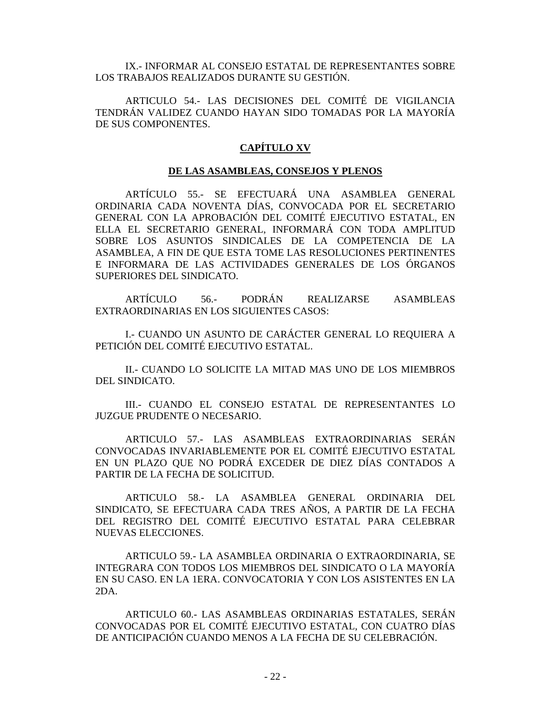IX.- INFORMAR AL CONSEJO ESTATAL DE REPRESENTANTES SOBRE LOS TRABAJOS REALIZADOS DURANTE SU GESTIÓN.

ARTICULO 54.- LAS DECISIONES DEL COMITÉ DE VIGILANCIA TENDRÁN VALIDEZ CUANDO HAYAN SIDO TOMADAS POR LA MAYORÍA DE SUS COMPONENTES.

# **CAPÍTULO XV**

#### **DE LAS ASAMBLEAS, CONSEJOS Y PLENOS**

ARTÍCULO 55.- SE EFECTUARÁ UNA ASAMBLEA GENERAL ORDINARIA CADA NOVENTA DÍAS, CONVOCADA POR EL SECRETARIO GENERAL CON LA APROBACIÓN DEL COMITÉ EJECUTIVO ESTATAL, EN ELLA EL SECRETARIO GENERAL, INFORMARÁ CON TODA AMPLITUD SOBRE LOS ASUNTOS SINDICALES DE LA COMPETENCIA DE LA ASAMBLEA, A FIN DE QUE ESTA TOME LAS RESOLUCIONES PERTINENTES E INFORMARA DE LAS ACTIVIDADES GENERALES DE LOS ÓRGANOS SUPERIORES DEL SINDICATO.

ARTÍCULO 56.- PODRÁN REALIZARSE ASAMBLEAS EXTRAORDINARIAS EN LOS SIGUIENTES CASOS:

I.- CUANDO UN ASUNTO DE CARÁCTER GENERAL LO REQUIERA A PETICIÓN DEL COMITÉ EJECUTIVO ESTATAL.

II.- CUANDO LO SOLICITE LA MITAD MAS UNO DE LOS MIEMBROS DEL SINDICATO.

III.- CUANDO EL CONSEJO ESTATAL DE REPRESENTANTES LO JUZGUE PRUDENTE O NECESARIO.

ARTICULO 57.- LAS ASAMBLEAS EXTRAORDINARIAS SERÁN CONVOCADAS INVARIABLEMENTE POR EL COMITÉ EJECUTIVO ESTATAL EN UN PLAZO QUE NO PODRÁ EXCEDER DE DIEZ DÍAS CONTADOS A PARTIR DE LA FECHA DE SOLICITUD.

ARTICULO 58.- LA ASAMBLEA GENERAL ORDINARIA DEL SINDICATO, SE EFECTUARA CADA TRES AÑOS, A PARTIR DE LA FECHA DEL REGISTRO DEL COMITÉ EJECUTIVO ESTATAL PARA CELEBRAR NUEVAS ELECCIONES.

ARTICULO 59.- LA ASAMBLEA ORDINARIA O EXTRAORDINARIA, SE INTEGRARA CON TODOS LOS MIEMBROS DEL SINDICATO O LA MAYORÍA EN SU CASO. EN LA 1ERA. CONVOCATORIA Y CON LOS ASISTENTES EN LA 2DA.

ARTICULO 60.- LAS ASAMBLEAS ORDINARIAS ESTATALES, SERÁN CONVOCADAS POR EL COMITÉ EJECUTIVO ESTATAL, CON CUATRO DÍAS DE ANTICIPACIÓN CUANDO MENOS A LA FECHA DE SU CELEBRACIÓN.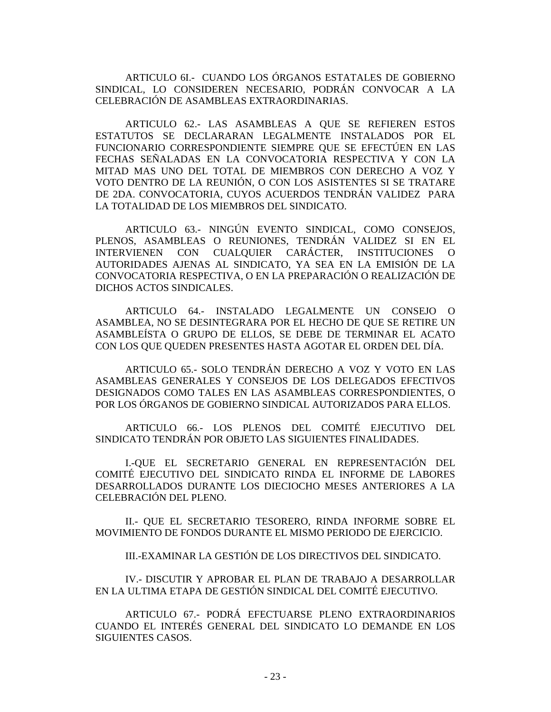ARTICULO 6I.- CUANDO LOS ÓRGANOS ESTATALES DE GOBIERNO SINDICAL, LO CONSIDEREN NECESARIO, PODRÁN CONVOCAR A LA CELEBRACIÓN DE ASAMBLEAS EXTRAORDINARIAS.

ARTICULO 62.- LAS ASAMBLEAS A QUE SE REFIEREN ESTOS ESTATUTOS SE DECLARARAN LEGALMENTE INSTALADOS POR EL FUNCIONARIO CORRESPONDIENTE SIEMPRE QUE SE EFECTÚEN EN LAS FECHAS SEÑALADAS EN LA CONVOCATORIA RESPECTIVA Y CON LA MITAD MAS UNO DEL TOTAL DE MIEMBROS CON DERECHO A VOZ Y VOTO DENTRO DE LA REUNIÓN, O CON LOS ASISTENTES SI SE TRATARE DE 2DA. CONVOCATORIA, CUYOS ACUERDOS TENDRÁN VALIDEZ PARA LA TOTALIDAD DE LOS MIEMBROS DEL SINDICATO.

ARTICULO 63.- NINGÚN EVENTO SINDICAL, COMO CONSEJOS, PLENOS, ASAMBLEAS O REUNIONES, TENDRÁN VALIDEZ SI EN EL INTERVIENEN CON CUALQUIER CARÁCTER, INSTITUCIONES O AUTORIDADES AJENAS AL SINDICATO, YA SEA EN LA EMISIÓN DE LA CONVOCATORIA RESPECTIVA, O EN LA PREPARACIÓN O REALIZACIÓN DE DICHOS ACTOS SINDICALES.

ARTICULO 64.- INSTALADO LEGALMENTE UN CONSEJO O ASAMBLEA, NO SE DESINTEGRARA POR EL HECHO DE QUE SE RETIRE UN ASAMBLEÍSTA O GRUPO DE ELLOS, SE DEBE DE TERMINAR EL ACATO CON LOS QUE QUEDEN PRESENTES HASTA AGOTAR EL ORDEN DEL DÍA.

ARTICULO 65.- SOLO TENDRÁN DERECHO A VOZ Y VOTO EN LAS ASAMBLEAS GENERALES Y CONSEJOS DE LOS DELEGADOS EFECTIVOS DESIGNADOS COMO TALES EN LAS ASAMBLEAS CORRESPONDIENTES, O POR LOS ÓRGANOS DE GOBIERNO SINDICAL AUTORIZADOS PARA ELLOS.

ARTICULO 66.- LOS PLENOS DEL COMITÉ EJECUTIVO DEL SINDICATO TENDRÁN POR OBJETO LAS SIGUIENTES FINALIDADES.

I.-QUE EL SECRETARIO GENERAL EN REPRESENTACIÓN DEL COMITÉ EJECUTIVO DEL SINDICATO RINDA EL INFORME DE LABORES DESARROLLADOS DURANTE LOS DIECIOCHO MESES ANTERIORES A LA CELEBRACIÓN DEL PLENO.

II.- QUE EL SECRETARIO TESORERO, RINDA INFORME SOBRE EL MOVIMIENTO DE FONDOS DURANTE EL MISMO PERIODO DE EJERCICIO.

III.-EXAMINAR LA GESTIÓN DE LOS DIRECTIVOS DEL SINDICATO.

IV.- DISCUTIR Y APROBAR EL PLAN DE TRABAJO A DESARROLLAR EN LA ULTIMA ETAPA DE GESTIÓN SINDICAL DEL COMITÉ EJECUTIVO.

ARTICULO 67.- PODRÁ EFECTUARSE PLENO EXTRAORDINARIOS CUANDO EL INTERÉS GENERAL DEL SINDICATO LO DEMANDE EN LOS SIGUIENTES CASOS.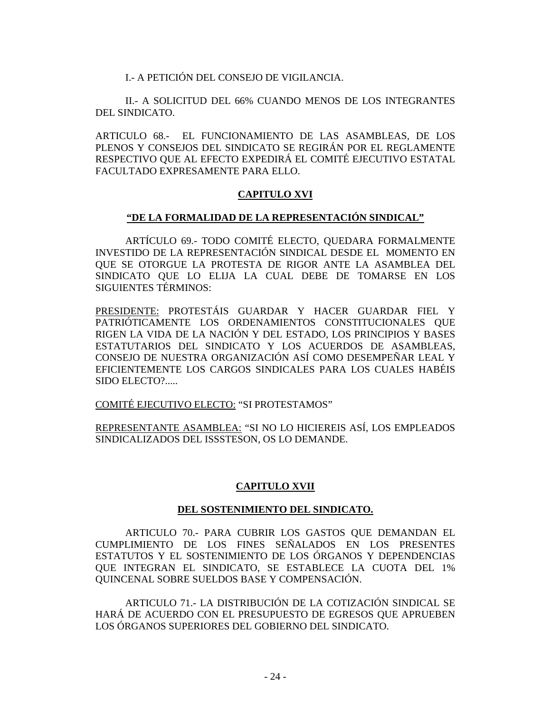I.- A PETICIÓN DEL CONSEJO DE VIGILANCIA.

II.- A SOLICITUD DEL 66% CUANDO MENOS DE LOS INTEGRANTES DEL SINDICATO.

ARTICULO 68.- EL FUNCIONAMIENTO DE LAS ASAMBLEAS, DE LOS PLENOS Y CONSEJOS DEL SINDICATO SE REGIRÁN POR EL REGLAMENTE RESPECTIVO QUE AL EFECTO EXPEDIRÁ EL COMITÉ EJECUTIVO ESTATAL FACULTADO EXPRESAMENTE PARA ELLO.

## **CAPITULO XVI**

#### **"DE LA FORMALIDAD DE LA REPRESENTACIÓN SINDICAL"**

ARTÍCULO 69.- TODO COMITÉ ELECTO, QUEDARA FORMALMENTE INVESTIDO DE LA REPRESENTACIÓN SINDICAL DESDE EL MOMENTO EN QUE SE OTORGUE LA PROTESTA DE RIGOR ANTE LA ASAMBLEA DEL SINDICATO QUE LO ELIJA LA CUAL DEBE DE TOMARSE EN LOS SIGUIENTES TÉRMINOS:

PRESIDENTE: PROTESTÁIS GUARDAR Y HACER GUARDAR FIEL Y PATRIÓTICAMENTE LOS ORDENAMIENTOS CONSTITUCIONALES QUE RIGEN LA VIDA DE LA NACIÓN Y DEL ESTADO, LOS PRINCIPIOS Y BASES ESTATUTARIOS DEL SINDICATO Y LOS ACUERDOS DE ASAMBLEAS, CONSEJO DE NUESTRA ORGANIZACIÓN ASÍ COMO DESEMPEÑAR LEAL Y EFICIENTEMENTE LOS CARGOS SINDICALES PARA LOS CUALES HABÉIS SIDO ELECTO?.....

COMITÉ EJECUTIVO ELECTO: "SI PROTESTAMOS"

REPRESENTANTE ASAMBLEA: "SI NO LO HICIEREIS ASÍ, LOS EMPLEADOS SINDICALIZADOS DEL ISSSTESON, OS LO DEMANDE.

## **CAPITULO XVII**

#### **DEL SOSTENIMIENTO DEL SINDICATO.**

ARTICULO 70.- PARA CUBRIR LOS GASTOS QUE DEMANDAN EL CUMPLIMIENTO DE LOS FINES SEÑALADOS EN LOS PRESENTES ESTATUTOS Y EL SOSTENIMIENTO DE LOS ÓRGANOS Y DEPENDENCIAS QUE INTEGRAN EL SINDICATO, SE ESTABLECE LA CUOTA DEL 1% QUINCENAL SOBRE SUELDOS BASE Y COMPENSACIÓN.

ARTICULO 71.- LA DISTRIBUCIÓN DE LA COTIZACIÓN SINDICAL SE HARÁ DE ACUERDO CON EL PRESUPUESTO DE EGRESOS QUE APRUEBEN LOS ÓRGANOS SUPERIORES DEL GOBIERNO DEL SINDICATO.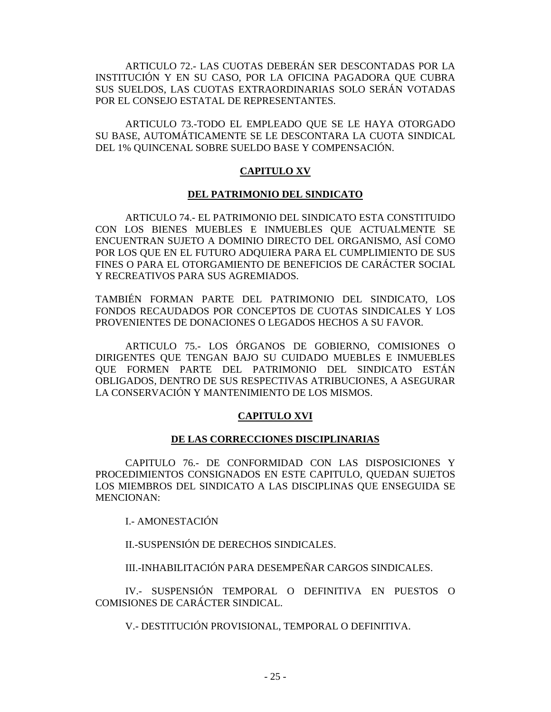ARTICULO 72.- LAS CUOTAS DEBERÁN SER DESCONTADAS POR LA INSTITUCIÓN Y EN SU CASO, POR LA OFICINA PAGADORA QUE CUBRA SUS SUELDOS, LAS CUOTAS EXTRAORDINARIAS SOLO SERÁN VOTADAS POR EL CONSEJO ESTATAL DE REPRESENTANTES.

ARTICULO 73.-TODO EL EMPLEADO QUE SE LE HAYA OTORGADO SU BASE, AUTOMÁTICAMENTE SE LE DESCONTARA LA CUOTA SINDICAL DEL 1% QUINCENAL SOBRE SUELDO BASE Y COMPENSACIÓN.

# **CAPITULO XV**

## **DEL PATRIMONIO DEL SINDICATO**

ARTICULO 74.- EL PATRIMONIO DEL SINDICATO ESTA CONSTITUIDO CON LOS BIENES MUEBLES E INMUEBLES QUE ACTUALMENTE SE ENCUENTRAN SUJETO A DOMINIO DIRECTO DEL ORGANISMO, ASÍ COMO POR LOS QUE EN EL FUTURO ADQUIERA PARA EL CUMPLIMIENTO DE SUS FINES O PARA EL OTORGAMIENTO DE BENEFICIOS DE CARÁCTER SOCIAL Y RECREATIVOS PARA SUS AGREMIADOS.

TAMBIÉN FORMAN PARTE DEL PATRIMONIO DEL SINDICATO, LOS FONDOS RECAUDADOS POR CONCEPTOS DE CUOTAS SINDICALES Y LOS PROVENIENTES DE DONACIONES O LEGADOS HECHOS A SU FAVOR.

ARTICULO 75.- LOS ÓRGANOS DE GOBIERNO, COMISIONES O DIRIGENTES QUE TENGAN BAJO SU CUIDADO MUEBLES E INMUEBLES QUE FORMEN PARTE DEL PATRIMONIO DEL SINDICATO ESTÁN OBLIGADOS, DENTRO DE SUS RESPECTIVAS ATRIBUCIONES, A ASEGURAR LA CONSERVACIÓN Y MANTENIMIENTO DE LOS MISMOS.

## **CAPITULO XVI**

#### **DE LAS CORRECCIONES DISCIPLINARIAS**

CAPITULO 76.- DE CONFORMIDAD CON LAS DISPOSICIONES Y PROCEDIMIENTOS CONSIGNADOS EN ESTE CAPITULO, QUEDAN SUJETOS LOS MIEMBROS DEL SINDICATO A LAS DISCIPLINAS QUE ENSEGUIDA SE MENCIONAN:

I.- AMONESTACIÓN

II.-SUSPENSIÓN DE DERECHOS SINDICALES.

III.-INHABILITACIÓN PARA DESEMPEÑAR CARGOS SINDICALES.

IV.- SUSPENSIÓN TEMPORAL O DEFINITIVA EN PUESTOS O COMISIONES DE CARÁCTER SINDICAL.

V.- DESTITUCIÓN PROVISIONAL, TEMPORAL O DEFINITIVA.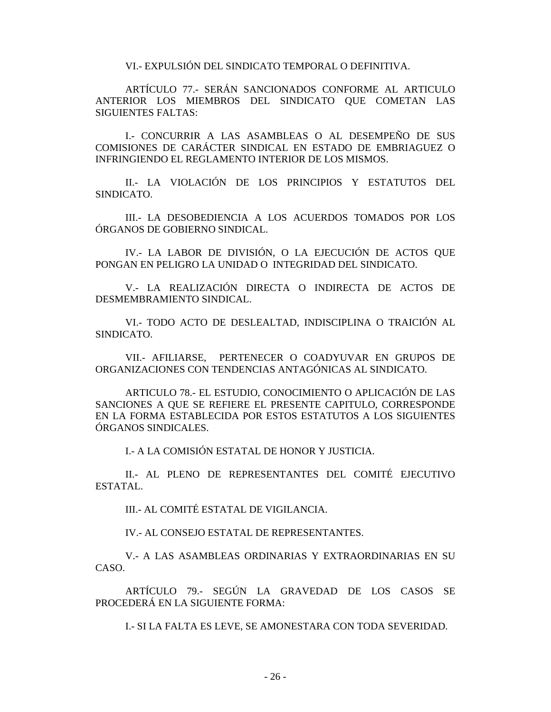VI.- EXPULSIÓN DEL SINDICATO TEMPORAL O DEFINITIVA.

ARTÍCULO 77.- SERÁN SANCIONADOS CONFORME AL ARTICULO ANTERIOR LOS MIEMBROS DEL SINDICATO QUE COMETAN LAS SIGUIENTES FALTAS:

I.- CONCURRIR A LAS ASAMBLEAS O AL DESEMPEÑO DE SUS COMISIONES DE CARÁCTER SINDICAL EN ESTADO DE EMBRIAGUEZ O INFRINGIENDO EL REGLAMENTO INTERIOR DE LOS MISMOS.

II.- LA VIOLACIÓN DE LOS PRINCIPIOS Y ESTATUTOS DEL SINDICATO.

III.- LA DESOBEDIENCIA A LOS ACUERDOS TOMADOS POR LOS ÓRGANOS DE GOBIERNO SINDICAL.

IV.- LA LABOR DE DIVISIÓN, O LA EJECUCIÓN DE ACTOS QUE PONGAN EN PELIGRO LA UNIDAD O INTEGRIDAD DEL SINDICATO.

V.- LA REALIZACIÓN DIRECTA O INDIRECTA DE ACTOS DE DESMEMBRAMIENTO SINDICAL.

VI.- TODO ACTO DE DESLEALTAD, INDISCIPLINA O TRAICIÓN AL SINDICATO.

VII.- AFILIARSE, PERTENECER O COADYUVAR EN GRUPOS DE ORGANIZACIONES CON TENDENCIAS ANTAGÓNICAS AL SINDICATO.

ARTICULO 78.- EL ESTUDIO, CONOCIMIENTO O APLICACIÓN DE LAS SANCIONES A QUE SE REFIERE EL PRESENTE CAPITULO, CORRESPONDE EN LA FORMA ESTABLECIDA POR ESTOS ESTATUTOS A LOS SIGUIENTES ÓRGANOS SINDICALES.

I.- A LA COMISIÓN ESTATAL DE HONOR Y JUSTICIA.

II.- AL PLENO DE REPRESENTANTES DEL COMITÉ EJECUTIVO ESTATAL.

III.- AL COMITÉ ESTATAL DE VIGILANCIA.

IV.- AL CONSEJO ESTATAL DE REPRESENTANTES.

V.- A LAS ASAMBLEAS ORDINARIAS Y EXTRAORDINARIAS EN SU CASO.

ARTÍCULO 79.- SEGÚN LA GRAVEDAD DE LOS CASOS SE PROCEDERÁ EN LA SIGUIENTE FORMA:

I.- SI LA FALTA ES LEVE, SE AMONESTARA CON TODA SEVERIDAD.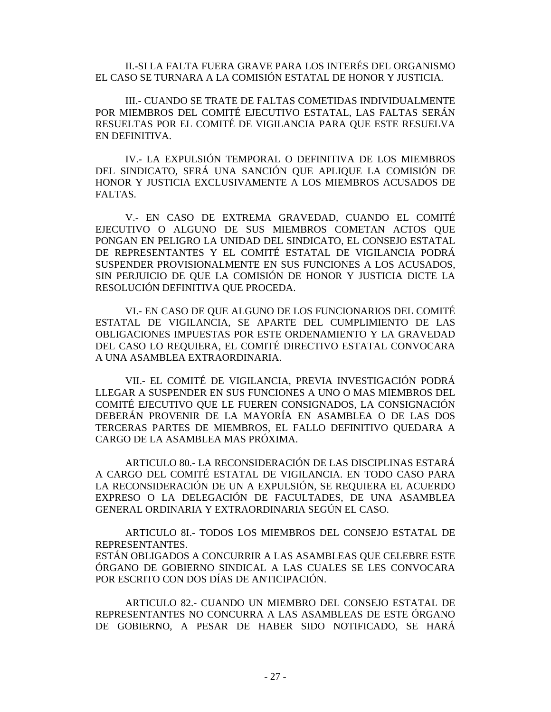II.-SI LA FALTA FUERA GRAVE PARA LOS INTERÉS DEL ORGANISMO EL CASO SE TURNARA A LA COMISIÓN ESTATAL DE HONOR Y JUSTICIA.

III.- CUANDO SE TRATE DE FALTAS COMETIDAS INDIVIDUALMENTE POR MIEMBROS DEL COMITÉ EJECUTIVO ESTATAL, LAS FALTAS SERÁN RESUELTAS POR EL COMITÉ DE VIGILANCIA PARA QUE ESTE RESUELVA EN DEFINITIVA.

IV.- LA EXPULSIÓN TEMPORAL O DEFINITIVA DE LOS MIEMBROS DEL SINDICATO, SERÁ UNA SANCIÓN QUE APLIQUE LA COMISIÓN DE HONOR Y JUSTICIA EXCLUSIVAMENTE A LOS MIEMBROS ACUSADOS DE FALTAS.

V.- EN CASO DE EXTREMA GRAVEDAD, CUANDO EL COMITÉ EJECUTIVO O ALGUNO DE SUS MIEMBROS COMETAN ACTOS QUE PONGAN EN PELIGRO LA UNIDAD DEL SINDICATO, EL CONSEJO ESTATAL DE REPRESENTANTES Y EL COMITÉ ESTATAL DE VIGILANCIA PODRÁ SUSPENDER PROVISIONALMENTE EN SUS FUNCIONES A LOS ACUSADOS, SIN PERJUICIO DE QUE LA COMISIÓN DE HONOR Y JUSTICIA DICTE LA RESOLUCIÓN DEFINITIVA QUE PROCEDA.

VI.- EN CASO DE QUE ALGUNO DE LOS FUNCIONARIOS DEL COMITÉ ESTATAL DE VIGILANCIA, SE APARTE DEL CUMPLIMIENTO DE LAS OBLIGACIONES IMPUESTAS POR ESTE ORDENAMIENTO Y LA GRAVEDAD DEL CASO LO REQUIERA, EL COMITÉ DIRECTIVO ESTATAL CONVOCARA A UNA ASAMBLEA EXTRAORDINARIA.

VII.- EL COMITÉ DE VIGILANCIA, PREVIA INVESTIGACIÓN PODRÁ LLEGAR A SUSPENDER EN SUS FUNCIONES A UNO O MAS MIEMBROS DEL COMITÉ EJECUTIVO QUE LE FUEREN CONSIGNADOS, LA CONSIGNACIÓN DEBERÁN PROVENIR DE LA MAYORÍA EN ASAMBLEA O DE LAS DOS TERCERAS PARTES DE MIEMBROS, EL FALLO DEFINITIVO QUEDARA A CARGO DE LA ASAMBLEA MAS PRÓXIMA.

ARTICULO 80.- LA RECONSIDERACIÓN DE LAS DISCIPLINAS ESTARÁ A CARGO DEL COMITÉ ESTATAL DE VIGILANCIA. EN TODO CASO PARA LA RECONSIDERACIÓN DE UN A EXPULSIÓN, SE REQUIERA EL ACUERDO EXPRESO O LA DELEGACIÓN DE FACULTADES, DE UNA ASAMBLEA GENERAL ORDINARIA Y EXTRAORDINARIA SEGÚN EL CASO.

ARTICULO 8I.- TODOS LOS MIEMBROS DEL CONSEJO ESTATAL DE REPRESENTANTES.

ESTÁN OBLIGADOS A CONCURRIR A LAS ASAMBLEAS QUE CELEBRE ESTE ÓRGANO DE GOBIERNO SINDICAL A LAS CUALES SE LES CONVOCARA POR ESCRITO CON DOS DÍAS DE ANTICIPACIÓN.

ARTICULO 82.- CUANDO UN MIEMBRO DEL CONSEJO ESTATAL DE REPRESENTANTES NO CONCURRA A LAS ASAMBLEAS DE ESTE ÓRGANO DE GOBIERNO, A PESAR DE HABER SIDO NOTIFICADO, SE HARÁ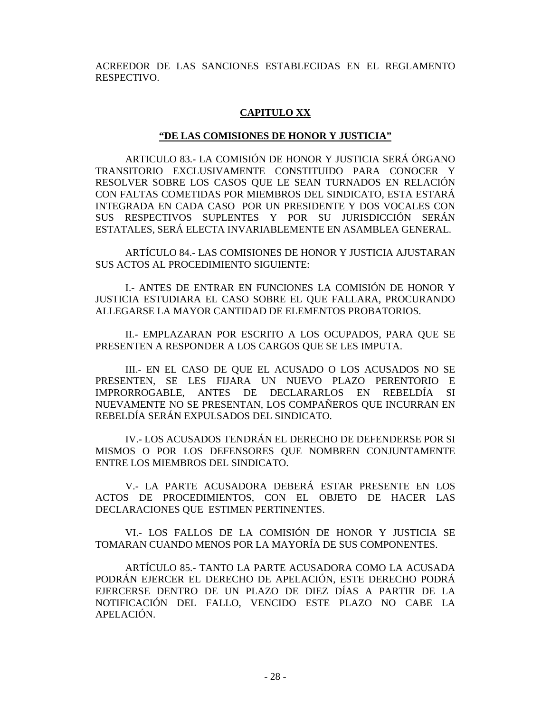ACREEDOR DE LAS SANCIONES ESTABLECIDAS EN EL REGLAMENTO RESPECTIVO.

#### **CAPITULO XX**

#### **"DE LAS COMISIONES DE HONOR Y JUSTICIA"**

ARTICULO 83.- LA COMISIÓN DE HONOR Y JUSTICIA SERÁ ÓRGANO TRANSITORIO EXCLUSIVAMENTE CONSTITUIDO PARA CONOCER Y RESOLVER SOBRE LOS CASOS QUE LE SEAN TURNADOS EN RELACIÓN CON FALTAS COMETIDAS POR MIEMBROS DEL SINDICATO, ESTA ESTARÁ INTEGRADA EN CADA CASO POR UN PRESIDENTE Y DOS VOCALES CON SUS RESPECTIVOS SUPLENTES Y POR SU JURISDICCIÓN SERÁN ESTATALES, SERÁ ELECTA INVARIABLEMENTE EN ASAMBLEA GENERAL.

ARTÍCULO 84.- LAS COMISIONES DE HONOR Y JUSTICIA AJUSTARAN SUS ACTOS AL PROCEDIMIENTO SIGUIENTE:

I.- ANTES DE ENTRAR EN FUNCIONES LA COMISIÓN DE HONOR Y JUSTICIA ESTUDIARA EL CASO SOBRE EL QUE FALLARA, PROCURANDO ALLEGARSE LA MAYOR CANTIDAD DE ELEMENTOS PROBATORIOS.

II.- EMPLAZARAN POR ESCRITO A LOS OCUPADOS, PARA QUE SE PRESENTEN A RESPONDER A LOS CARGOS QUE SE LES IMPUTA.

III.- EN EL CASO DE QUE EL ACUSADO O LOS ACUSADOS NO SE PRESENTEN, SE LES FIJARA UN NUEVO PLAZO PERENTORIO E IMPRORROGABLE, ANTES DE DECLARARLOS EN REBELDÍA SI NUEVAMENTE NO SE PRESENTAN, LOS COMPAÑEROS QUE INCURRAN EN REBELDÍA SERÁN EXPULSADOS DEL SINDICATO.

IV.- LOS ACUSADOS TENDRÁN EL DERECHO DE DEFENDERSE POR SI MISMOS O POR LOS DEFENSORES QUE NOMBREN CONJUNTAMENTE ENTRE LOS MIEMBROS DEL SINDICATO.

V.- LA PARTE ACUSADORA DEBERÁ ESTAR PRESENTE EN LOS ACTOS DE PROCEDIMIENTOS, CON EL OBJETO DE HACER LAS DECLARACIONES QUE ESTIMEN PERTINENTES.

VI.- LOS FALLOS DE LA COMISIÓN DE HONOR Y JUSTICIA SE TOMARAN CUANDO MENOS POR LA MAYORÍA DE SUS COMPONENTES.

ARTÍCULO 85.- TANTO LA PARTE ACUSADORA COMO LA ACUSADA PODRÁN EJERCER EL DERECHO DE APELACIÓN, ESTE DERECHO PODRÁ EJERCERSE DENTRO DE UN PLAZO DE DIEZ DÍAS A PARTIR DE LA NOTIFICACIÓN DEL FALLO, VENCIDO ESTE PLAZO NO CABE LA APELACIÓN.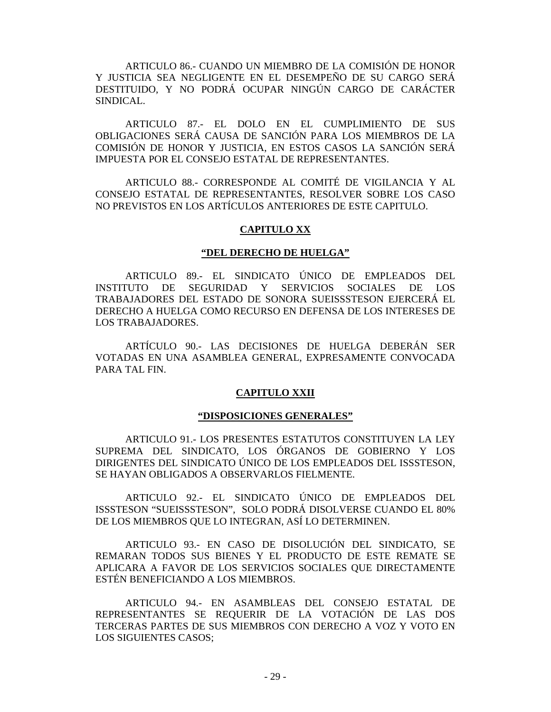ARTICULO 86.- CUANDO UN MIEMBRO DE LA COMISIÓN DE HONOR Y JUSTICIA SEA NEGLIGENTE EN EL DESEMPEÑO DE SU CARGO SERÁ DESTITUIDO, Y NO PODRÁ OCUPAR NINGÚN CARGO DE CARÁCTER SINDICAL.

ARTICULO 87.- EL DOLO EN EL CUMPLIMIENTO DE SUS OBLIGACIONES SERÁ CAUSA DE SANCIÓN PARA LOS MIEMBROS DE LA COMISIÓN DE HONOR Y JUSTICIA, EN ESTOS CASOS LA SANCIÓN SERÁ IMPUESTA POR EL CONSEJO ESTATAL DE REPRESENTANTES.

ARTICULO 88.- CORRESPONDE AL COMITÉ DE VIGILANCIA Y AL CONSEJO ESTATAL DE REPRESENTANTES, RESOLVER SOBRE LOS CASO NO PREVISTOS EN LOS ARTÍCULOS ANTERIORES DE ESTE CAPITULO.

#### **CAPITULO XX**

#### **"DEL DERECHO DE HUELGA"**

ARTICULO 89.- EL SINDICATO ÚNICO DE EMPLEADOS DEL INSTITUTO DE SEGURIDAD Y SERVICIOS SOCIALES DE LOS TRABAJADORES DEL ESTADO DE SONORA SUEISSSTESON EJERCERÁ EL DERECHO A HUELGA COMO RECURSO EN DEFENSA DE LOS INTERESES DE LOS TRABAJADORES.

ARTÍCULO 90.- LAS DECISIONES DE HUELGA DEBERÁN SER VOTADAS EN UNA ASAMBLEA GENERAL, EXPRESAMENTE CONVOCADA PARA TAL FIN.

#### **CAPITULO XXII**

#### **"DISPOSICIONES GENERALES"**

ARTICULO 91.- LOS PRESENTES ESTATUTOS CONSTITUYEN LA LEY SUPREMA DEL SINDICATO, LOS ÓRGANOS DE GOBIERNO Y LOS DIRIGENTES DEL SINDICATO ÚNICO DE LOS EMPLEADOS DEL ISSSTESON, SE HAYAN OBLIGADOS A OBSERVARLOS FIELMENTE.

ARTICULO 92.- EL SINDICATO ÚNICO DE EMPLEADOS DEL ISSSTESON "SUEISSSTESON", SOLO PODRÁ DISOLVERSE CUANDO EL 80% DE LOS MIEMBROS QUE LO INTEGRAN, ASÍ LO DETERMINEN.

ARTICULO 93.- EN CASO DE DISOLUCIÓN DEL SINDICATO, SE REMARAN TODOS SUS BIENES Y EL PRODUCTO DE ESTE REMATE SE APLICARA A FAVOR DE LOS SERVICIOS SOCIALES QUE DIRECTAMENTE ESTÉN BENEFICIANDO A LOS MIEMBROS.

ARTICULO 94.- EN ASAMBLEAS DEL CONSEJO ESTATAL DE REPRESENTANTES SE REQUERIR DE LA VOTACIÓN DE LAS DOS TERCERAS PARTES DE SUS MIEMBROS CON DERECHO A VOZ Y VOTO EN LOS SIGUIENTES CASOS;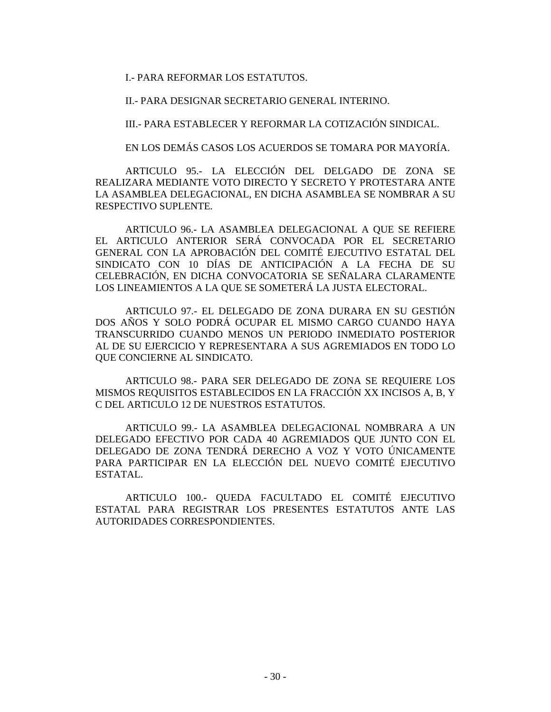I.- PARA REFORMAR LOS ESTATUTOS.

II.- PARA DESIGNAR SECRETARIO GENERAL INTERINO.

III.- PARA ESTABLECER Y REFORMAR LA COTIZACIÓN SINDICAL.

EN LOS DEMÁS CASOS LOS ACUERDOS SE TOMARA POR MAYORÍA.

ARTICULO 95.- LA ELECCIÓN DEL DELGADO DE ZONA SE REALIZARA MEDIANTE VOTO DIRECTO Y SECRETO Y PROTESTARA ANTE LA ASAMBLEA DELEGACIONAL, EN DICHA ASAMBLEA SE NOMBRAR A SU RESPECTIVO SUPLENTE.

ARTICULO 96.- LA ASAMBLEA DELEGACIONAL A QUE SE REFIERE EL ARTICULO ANTERIOR SERÁ CONVOCADA POR EL SECRETARIO GENERAL CON LA APROBACIÓN DEL COMITÉ EJECUTIVO ESTATAL DEL SINDICATO CON 10 DÍAS DE ANTICIPACIÓN A LA FECHA DE SU CELEBRACIÓN, EN DICHA CONVOCATORIA SE SEÑALARA CLARAMENTE LOS LINEAMIENTOS A LA QUE SE SOMETERÁ LA JUSTA ELECTORAL.

ARTICULO 97.- EL DELEGADO DE ZONA DURARA EN SU GESTIÓN DOS AÑOS Y SOLO PODRÁ OCUPAR EL MISMO CARGO CUANDO HAYA TRANSCURRIDO CUANDO MENOS UN PERIODO INMEDIATO POSTERIOR AL DE SU EJERCICIO Y REPRESENTARA A SUS AGREMIADOS EN TODO LO QUE CONCIERNE AL SINDICATO.

ARTICULO 98.- PARA SER DELEGADO DE ZONA SE REQUIERE LOS MISMOS REQUISITOS ESTABLECIDOS EN LA FRACCIÓN XX INCISOS A, B, Y C DEL ARTICULO 12 DE NUESTROS ESTATUTOS.

ARTICULO 99.- LA ASAMBLEA DELEGACIONAL NOMBRARA A UN DELEGADO EFECTIVO POR CADA 40 AGREMIADOS QUE JUNTO CON EL DELEGADO DE ZONA TENDRÁ DERECHO A VOZ Y VOTO ÚNICAMENTE PARA PARTICIPAR EN LA ELECCIÓN DEL NUEVO COMITÉ EJECUTIVO ESTATAL.

ARTICULO 100.- QUEDA FACULTADO EL COMITÉ EJECUTIVO ESTATAL PARA REGISTRAR LOS PRESENTES ESTATUTOS ANTE LAS AUTORIDADES CORRESPONDIENTES.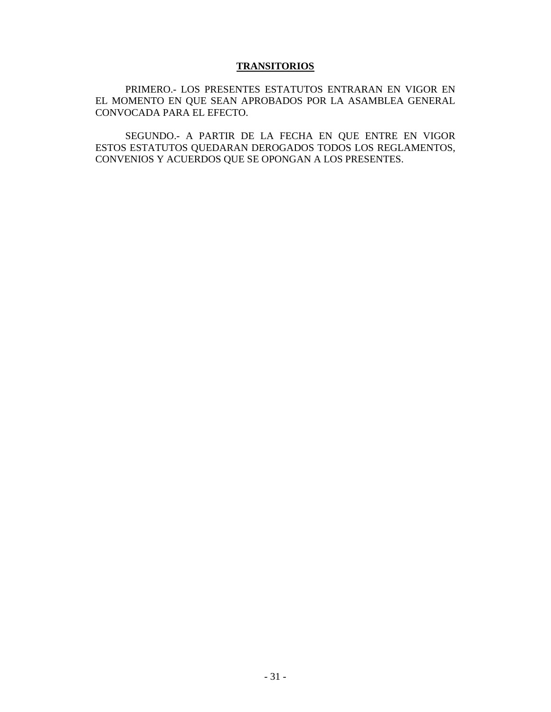# **TRANSITORIOS**

PRIMERO.- LOS PRESENTES ESTATUTOS ENTRARAN EN VIGOR EN EL MOMENTO EN QUE SEAN APROBADOS POR LA ASAMBLEA GENERAL CONVOCADA PARA EL EFECTO.

SEGUNDO.- A PARTIR DE LA FECHA EN QUE ENTRE EN VIGOR ESTOS ESTATUTOS QUEDARAN DEROGADOS TODOS LOS REGLAMENTOS, CONVENIOS Y ACUERDOS QUE SE OPONGAN A LOS PRESENTES.